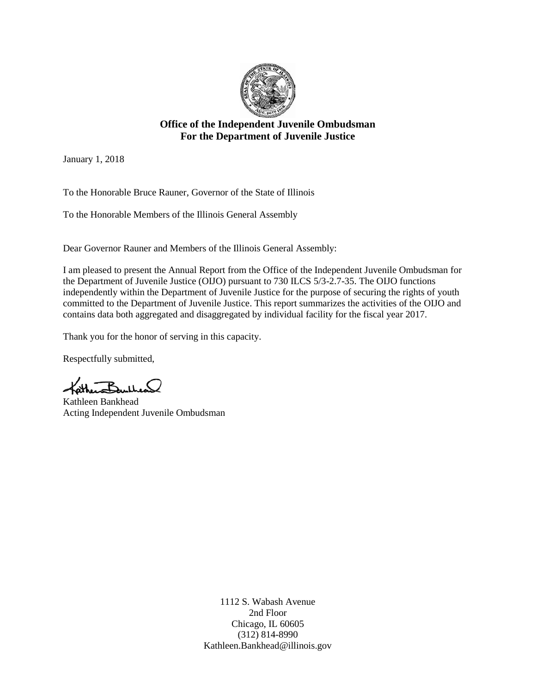

#### **Office of the Independent Juvenile Ombudsman For the Department of Juvenile Justice**

January 1, 2018

To the Honorable Bruce Rauner, Governor of the State of Illinois

To the Honorable Members of the Illinois General Assembly

Dear Governor Rauner and Members of the Illinois General Assembly:

I am pleased to present the Annual Report from the Office of the Independent Juvenile Ombudsman for the Department of Juvenile Justice (OIJO) pursuant to 730 ILCS 5/3-2.7-35. The OIJO functions independently within the Department of Juvenile Justice for the purpose of securing the rights of youth committed to the Department of Juvenile Justice. This report summarizes the activities of the OIJO and contains data both aggregated and disaggregated by individual facility for the fiscal year 2017.

Thank you for the honor of serving in this capacity.

Respectfully submitted,

 $B_{m1}$ 

Kathleen Bankhead Acting Independent Juvenile Ombudsman

1112 S. Wabash Avenue 2nd Floor Chicago, IL 60605 (312) 814-8990 [Kathleen.Bankhead@illinois.gov](mailto:Kathleen.Bankhead@illinois.gov)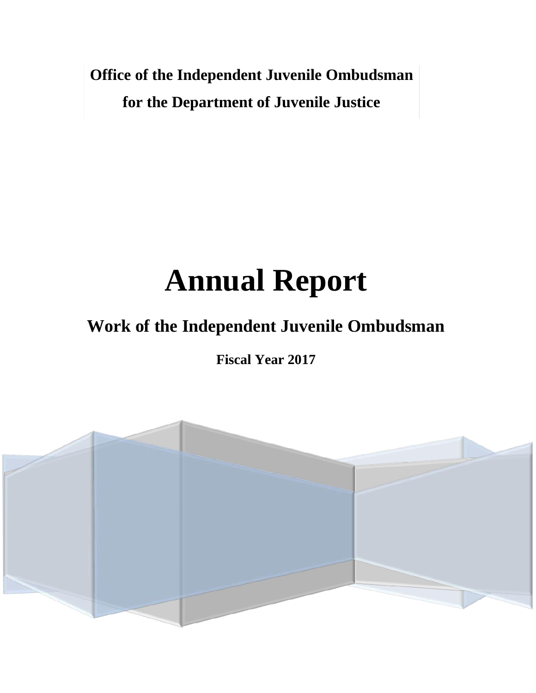**Office of the Independent Juvenile Ombudsman for the Department of Juvenile Justice**

# **Annual Report**

# **Work of the Independent Juvenile Ombudsman**

**Fiscal Year 2017**

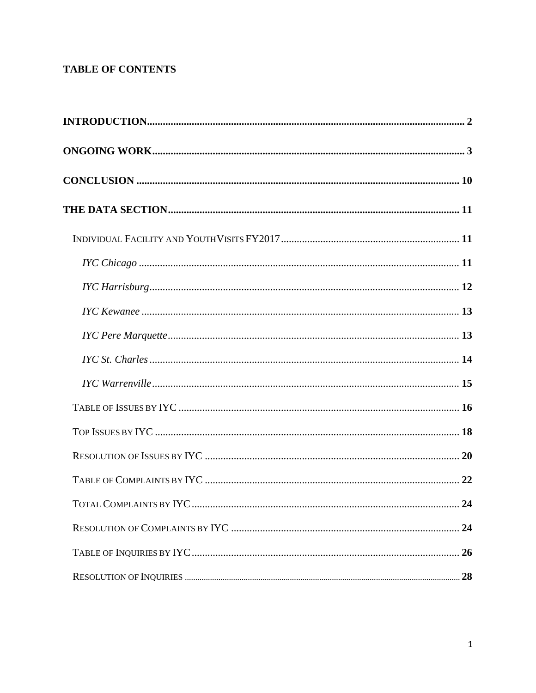# **TABLE OF CONTENTS**

| TOTAL COMPLAINTS BY IYC. | 24 |
|--------------------------|----|
|                          | 24 |
|                          |    |
|                          | 28 |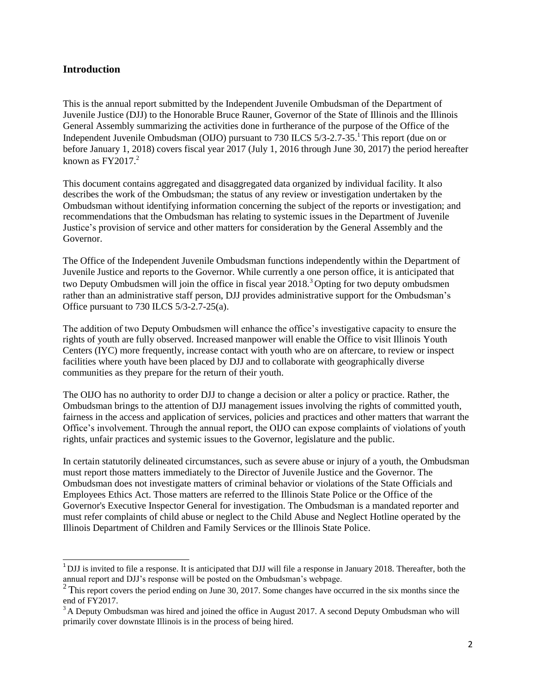#### <span id="page-3-0"></span>**Introduction**

This is the annual report submitted by the Independent Juvenile Ombudsman of the Department of Juvenile Justice (DJJ) to the Honorable Bruce Rauner, Governor of the State of Illinois and the Illinois General Assembly summarizing the activities done in furtherance of the purpose of the Office of the Independent Juvenile Ombudsman (OIJO) pursuant to 730 ILCS 5/3-2.7-35.<sup>1</sup> This report (due on or before January 1, 2018) covers fiscal year 2017 (July 1, 2016 through June 30, 2017) the period hereafter known as  $FY2017<sup>2</sup>$ 

This document contains aggregated and disaggregated data organized by individual facility. It also describes the work of the Ombudsman; the status of any review or investigation undertaken by the Ombudsman without identifying information concerning the subject of the reports or investigation; and recommendations that the Ombudsman has relating to systemic issues in the Department of Juvenile Justice's provision of service and other matters for consideration by the General Assembly and the Governor.

The Office of the Independent Juvenile Ombudsman functions independently within the Department of Juvenile Justice and reports to the Governor. While currently a one person office, it is anticipated that two Deputy Ombudsmen will join the office in fiscal year  $2018<sup>3</sup>$  Opting for two deputy ombudsmen rather than an administrative staff person, DJJ provides administrative support for the Ombudsman's Office pursuant to 730 ILCS 5/3-2.7-25(a).

The addition of two Deputy Ombudsmen will enhance the office's investigative capacity to ensure the rights of youth are fully observed. Increased manpower will enable the Office to visit Illinois Youth Centers (IYC) more frequently, increase contact with youth who are on aftercare, to review or inspect facilities where youth have been placed by DJJ and to collaborate with geographically diverse communities as they prepare for the return of their youth.

The OIJO has no authority to order DJJ to change a decision or alter a policy or practice. Rather, the Ombudsman brings to the attention of DJJ management issues involving the rights of committed youth, fairness in the access and application of services, policies and practices and other matters that warrant the Office's involvement. Through the annual report, the OIJO can expose complaints of violations of youth rights, unfair practices and systemic issues to the Governor, legislature and the public.

In certain statutorily delineated circumstances, such as severe abuse or injury of a youth, the Ombudsman must report those matters immediately to the Director of Juvenile Justice and the Governor. The Ombudsman does not investigate matters of criminal behavior or violations of the State Officials and Employees Ethics Act. Those matters are referred to the Illinois State Police or the Office of the Governor's Executive Inspector General for investigation. The Ombudsman is a mandated reporter and must refer complaints of child abuse or neglect to the Child Abuse and Neglect Hotline operated by the Illinois Department of Children and Family Services or the Illinois State Police.

<span id="page-3-1"></span><sup>&</sup>lt;sup>1</sup>DJJ is invited to file a response. It is anticipated that DJJ will file a response in January 2018. Thereafter, both the annual report and DJJ's response will be posted on the Ombudsman's webpage.

<span id="page-3-2"></span><sup>&</sup>lt;sup>2</sup>This report covers the period ending on June 30, 2017. Some changes have occurred in the six months since the end of FY2017.

<span id="page-3-3"></span> $3A$  Deputy Ombudsman was hired and joined the office in August 2017. A second Deputy Ombudsman who will primarily cover downstate Illinois is in the process of being hired.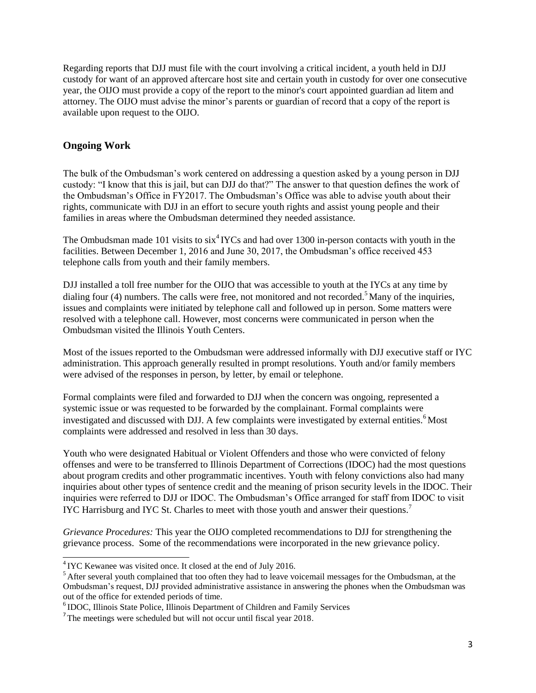Regarding reports that DJJ must file with the court involving a critical incident, a youth held in DJJ custody for want of an approved aftercare host site and certain youth in custody for over one consecutive year, the OIJO must provide a copy of the report to the minor's court appointed guardian ad litem and attorney. The OIJO must advise the minor's parents or guardian of record that a copy of the report is available upon request to the OIJO.

#### <span id="page-4-0"></span>**Ongoing Work**

The bulk of the Ombudsman's work centered on addressing a question asked by a young person in DJJ custody: "I know that this is jail, but can DJJ do that?" The answer to that question defines the work of the Ombudsman's Office in FY2017. The Ombudsman's Office was able to advise youth about their rights, communicate with DJJ in an effort to secure youth rights and assist young people and their families in areas where the Ombudsman determined they needed assistance.

The Ombudsman made 101 visits to  $\sin^4$  IYCs and had over 1300 in-person contacts with youth in the facilities. Between December 1, 2016 and June 30, 2017, the Ombudsman's office received 453 telephone calls from youth and their family members.

DJJ installed a toll free number for the OIJO that was accessible to youth at the IYCs at any time by dialing four (4) numbers[.](#page-4-2) The calls were free, not monitored and not recorded.<sup>5</sup> Many of the inquiries, issues and complaints were initiated by telephone call and followed up in person. Some matters were resolved with a telephone call. However, most concerns were communicated in person when the Ombudsman visited the Illinois Youth Centers.

Most of the issues reported to the Ombudsman were addressed informally with DJJ executive staff or IYC administration. This approach generally resulted in prompt resolutions. Youth and/or family members were advised of the responses in person, by letter, by email or telephone.

Formal complaints were filed and forwarded to DJJ when the concern was ongoing, represented a systemic issue or was requested to be forwarded by the complainant. Formal complaints were investigated and discussed with DJJ. A few complaints were investigated by external entities.<sup>6</sup> Most complaints were addressed and resolved in less than 30 days.

Youth who were designated Habitual or Violent Offenders and those who were convicted of felony offenses and were to be transferred to Illinois Department of Corrections (IDOC) had the most questions about program credits and other programmatic incentives. Youth with felony convictions also had many inquiries about other types of sentence credit and the meaning of prison security levels in the IDOC. Their inquiries were referred to DJJ or IDOC. The Ombudsman's Office arranged for staff from IDOC to visit IYC Harrisburg and IYC St[.](#page-4-4) Charles to meet with those youth and answer their questions.<sup>7</sup>

*Grievance Procedures:* This year the OIJO completed recommendations to DJJ for strengthening the grievance process. Some of the recommendations were incorporated in the new grievance policy.

<span id="page-4-1"></span><sup>&</sup>lt;sup>4</sup> IYC Kewanee was visited once. It closed at the end of July 2016.

<span id="page-4-2"></span><sup>&</sup>lt;sup>5</sup> After several youth complained that too often they had to leave voicemail messages for the Ombudsman, at the Ombudsman's request, DJJ provided administrative assistance in answering the phones when the Ombudsman was out of the office for extended periods of time.

<span id="page-4-3"></span><sup>&</sup>lt;sup>6</sup> IDOC, Illinois State Police, Illinois Department of Children and Family Services

<span id="page-4-4"></span><sup>&</sup>lt;sup>7</sup>The meetings were scheduled but will not occur until fiscal year 2018.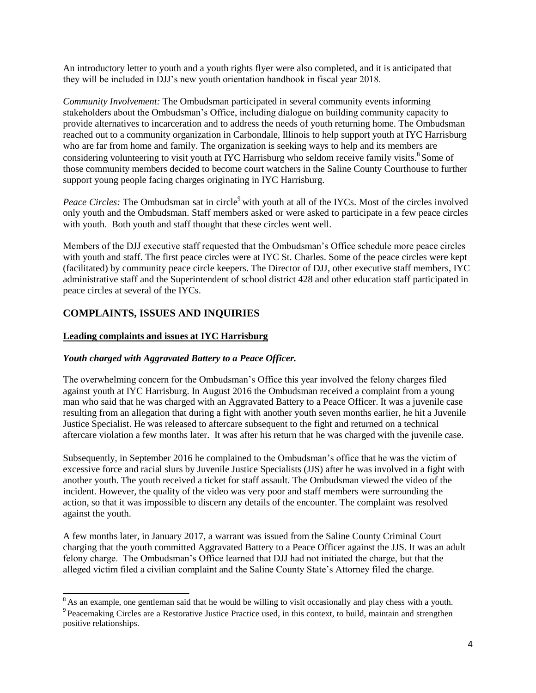An introductory letter to youth and a youth rights flyer were also completed, and it is anticipated that they will be included in DJJ's new youth orientation handbook in fiscal year 2018.

*Community Involvement:* The Ombudsman participated in several community events informing stakeholders about the Ombudsman's Office, including dialogue on building community capacity to provide alternatives to incarceration and to address the needs of youth returning home. The Ombudsman reached out to a community organization in Carbondale, Illinois to help support youth at IYC Harrisburg who are far from home and family. The organization is seeking ways to help and its members are considering volunteering to visit youth at IYC Harrisburg who seldom receive family visits[.](#page-5-0) <sup>8</sup> Some of those community members decided to become court watchers in the Saline County Courthouse to further support young people facing charges originating in IYC Harrisburg.

*Peace Circles:* The Ombudsman sat in circle<sup>9</sup> with youth at all of the IYCs. Most of the circles involved only youth and the Ombudsman. Staff members asked or were asked to participate in a few peace circles with youth. Both youth and staff thought that these circles went well.

Members of the DJJ executive staff requested that the Ombudsman's Office schedule more peace circles with youth and staff. The first peace circles were at IYC St. Charles. Some of the peace circles were kept (facilitated) by community peace circle keepers. The Director of DJJ, other executive staff members, IYC administrative staff and the Superintendent of school district 428 and other education staff participated in peace circles at several of the IYCs.

#### **COMPLAINTS, ISSUES AND INQUIRIES**

#### **Leading complaints and issues at IYC Harrisburg**

#### *Youth charged with Aggravated Battery to a Peace Officer.*

The overwhelming concern for the Ombudsman's Office this year involved the felony charges filed against youth at IYC Harrisburg. In August 2016 the Ombudsman received a complaint from a young man who said that he was charged with an Aggravated Battery to a Peace Officer. It was a juvenile case resulting from an allegation that during a fight with another youth seven months earlier, he hit a Juvenile Justice Specialist. He was released to aftercare subsequent to the fight and returned on a technical aftercare violation a few months later. It was after his return that he was charged with the juvenile case.

Subsequently, in September 2016 he complained to the Ombudsman's office that he was the victim of excessive force and racial slurs by Juvenile Justice Specialists (JJS) after he was involved in a fight with another youth. The youth received a ticket for staff assault. The Ombudsman viewed the video of the incident. However, the quality of the video was very poor and staff members were surrounding the action, so that it was impossible to discern any details of the encounter. The complaint was resolved against the youth.

A few months later, in January 2017, a warrant was issued from the Saline County Criminal Court charging that the youth committed Aggravated Battery to a Peace Officer against the JJS. It was an adult felony charge. The Ombudsman's Office learned that DJJ had not initiated the charge, but that the alleged victim filed a civilian complaint and the Saline County State's Attorney filed the charge.

<span id="page-5-1"></span><span id="page-5-0"></span><sup>&</sup>lt;sup>8</sup> As an example, one gentleman said that he would be willing to visit occasionally and play chess with a youth.

<sup>&</sup>lt;sup>9</sup> Peacemaking Circles are a Restorative Justice Practice used, in this context, to build, maintain and strengthen positive relationships.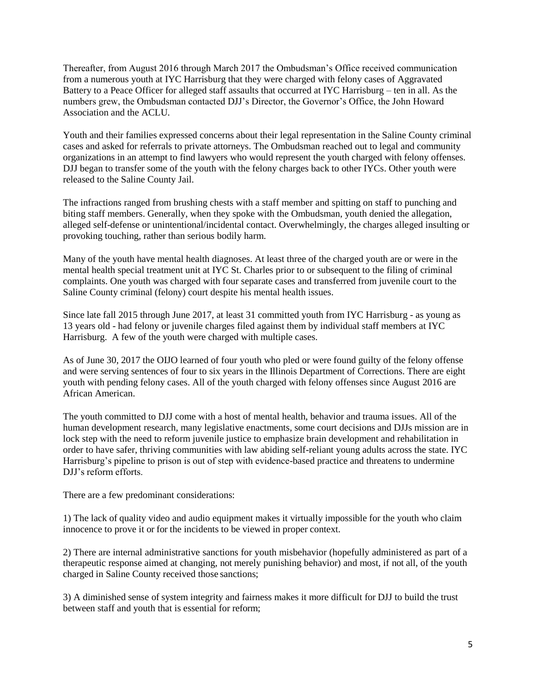Thereafter, from August 2016 through March 2017 the Ombudsman's Office received communication from a numerous youth at IYC Harrisburg that they were charged with felony cases of Aggravated Battery to a Peace Officer for alleged staff assaults that occurred at IYC Harrisburg – ten in all. As the numbers grew, the Ombudsman contacted DJJ's Director, the Governor's Office, the John Howard Association and the ACLU.

Youth and their families expressed concerns about their legal representation in the Saline County criminal cases and asked for referrals to private attorneys. The Ombudsman reached out to legal and community organizations in an attempt to find lawyers who would represent the youth charged with felony offenses. DJJ began to transfer some of the youth with the felony charges back to other IYCs. Other youth were released to the Saline County Jail.

The infractions ranged from brushing chests with a staff member and spitting on staff to punching and biting staff members. Generally, when they spoke with the Ombudsman, youth denied the allegation, alleged self-defense or unintentional/incidental contact. Overwhelmingly, the charges alleged insulting or provoking touching, rather than serious bodily harm.

Many of the youth have mental health diagnoses. At least three of the charged youth are or were in the mental health special treatment unit at IYC St. Charles prior to or subsequent to the filing of criminal complaints. One youth was charged with four separate cases and transferred from juvenile court to the Saline County criminal (felony) court despite his mental health issues.

Since late fall 2015 through June 2017, at least 31 committed youth from IYC Harrisburg - as young as 13 years old - had felony or juvenile charges filed against them by individual staff members at IYC Harrisburg. A few of the youth were charged with multiple cases.

As of June 30, 2017 the OIJO learned of four youth who pled or were found guilty of the felony offense and were serving sentences of four to six years in the Illinois Department of Corrections. There are eight youth with pending felony cases. All of the youth charged with felony offenses since August 2016 are African American.

The youth committed to DJJ come with a host of mental health, behavior and trauma issues. All of the human development research, many legislative enactments, some court decisions and DJJs mission are in lock step with the need to reform juvenile justice to emphasize brain development and rehabilitation in order to have safer, thriving communities with law abiding self-reliant young adults across the state. IYC Harrisburg's pipeline to prison is out of step with evidence-based practice and threatens to undermine DJJ's reform efforts.

There are a few predominant considerations:

1) The lack of quality video and audio equipment makes it virtually impossible for the youth who claim innocence to prove it or for the incidents to be viewed in proper context.

2) There are internal administrative sanctions for youth misbehavior (hopefully administered as part of a therapeutic response aimed at changing, not merely punishing behavior) and most, if not all, of the youth charged in Saline County received those sanctions;

3) A diminished sense of system integrity and fairness makes it more difficult for DJJ to build the trust between staff and youth that is essential for reform;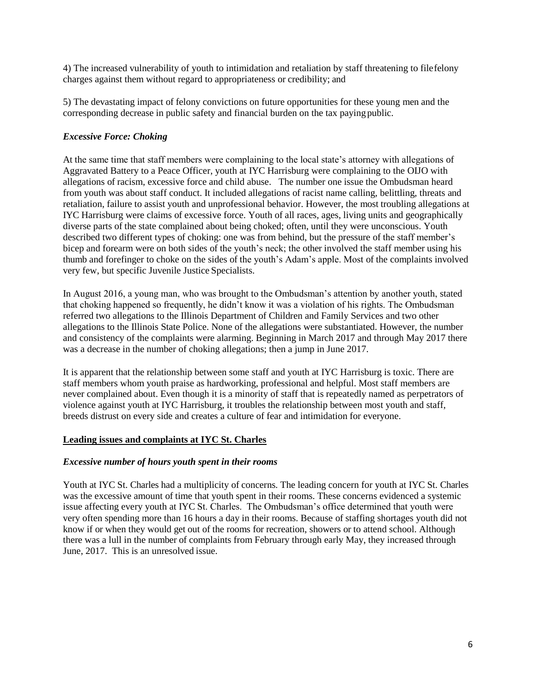4) The increased vulnerability of youth to intimidation and retaliation by staff threatening to filefelony charges against them without regard to appropriateness or credibility; and

5) The devastating impact of felony convictions on future opportunities for these young men and the corresponding decrease in public safety and financial burden on the tax payingpublic.

#### *Excessive Force: Choking*

At the same time that staff members were complaining to the local state's attorney with allegations of Aggravated Battery to a Peace Officer, youth at IYC Harrisburg were complaining to the OIJO with allegations of racism, excessive force and child abuse. The number one issue the Ombudsman heard from youth was about staff conduct. It included allegations of racist name calling, belittling, threats and retaliation, failure to assist youth and unprofessional behavior. However, the most troubling allegations at IYC Harrisburg were claims of excessive force. Youth of all races, ages, living units and geographically diverse parts of the state complained about being choked; often, until they were unconscious. Youth described two different types of choking: one was from behind, but the pressure of the staff member's bicep and forearm were on both sides of the youth's neck; the other involved the staff member using his thumb and forefinger to choke on the sides of the youth's Adam's apple. Most of the complaints involved very few, but specific Juvenile Justice Specialists.

In August 2016, a young man, who was brought to the Ombudsman's attention by another youth, stated that choking happened so frequently, he didn't know it was a violation of his rights. The Ombudsman referred two allegations to the Illinois Department of Children and Family Services and two other allegations to the Illinois State Police. None of the allegations were substantiated. However, the number and consistency of the complaints were alarming. Beginning in March 2017 and through May 2017 there was a decrease in the number of choking allegations; then a jump in June 2017.

It is apparent that the relationship between some staff and youth at IYC Harrisburg is toxic. There are staff members whom youth praise as hardworking, professional and helpful. Most staff members are never complained about. Even though it is a minority of staff that is repeatedly named as perpetrators of violence against youth at IYC Harrisburg, it troubles the relationship between most youth and staff, breeds distrust on every side and creates a culture of fear and intimidation for everyone.

#### **Leading issues and complaints at IYC St. Charles**

#### *Excessive number of hours youth spent in their rooms*

Youth at IYC St. Charles had a multiplicity of concerns. The leading concern for youth at IYC St. Charles was the excessive amount of time that youth spent in their rooms. These concerns evidenced a systemic issue affecting every youth at IYC St. Charles. The Ombudsman's office determined that youth were very often spending more than 16 hours a day in their rooms. Because of staffing shortages youth did not know if or when they would get out of the rooms for recreation, showers or to attend school. Although there was a lull in the number of complaints from February through early May, they increased through June, 2017. This is an unresolved issue.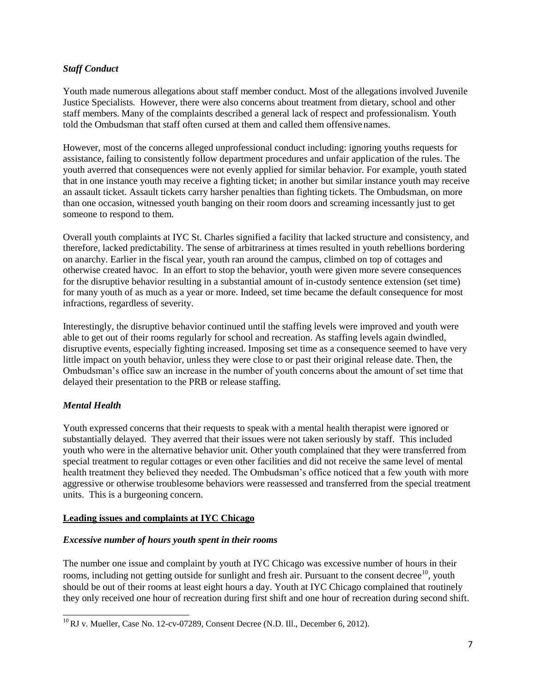#### *Staff Conduct*

Youth made numerous allegations about staff member conduct. Most of the allegations involved Juvenile Justice Specialists. However, there were also concerns about treatment from dietary, school and other staff members. Many of the complaints described a general lack of respect and professionalism. Youth told the Ombudsman that staff often cursed at them and called them offensivenames.

However, most of the concerns alleged unprofessional conduct including: ignoring youths requests for assistance, failing to consistently follow department procedures and unfair application of the rules. The youth averred that consequences were not evenly applied for similar behavior. For example, youth stated that in one instance youth may receive a fighting ticket; in another but similar instance youth may receive an assault ticket. Assault tickets carry harsher penalties than fighting tickets. The Ombudsman, on more than one occasion, witnessed youth banging on their room doors and screaming incessantly just to get someone to respond to them.

Overall youth complaints at IYC St. Charles signified a facility that lacked structure and consistency, and therefore, lacked predictability. The sense of arbitrariness at times resulted in youth rebellions bordering on anarchy. Earlier in the fiscal year, youth ran around the campus, climbed on top of cottages and otherwise created havoc. In an effort to stop the behavior, youth were given more severe consequences for the disruptive behavior resulting in a substantial amount of in-custody sentence extension (set time) for many youth of as much as a year or more. Indeed, set time became the default consequence for most infractions, regardless of severity.

Interestingly, the disruptive behavior continued until the staffing levels were improved and youth were able to get out of their rooms regularly for school and recreation. As staffing levels again dwindled, disruptive events, especially fighting increased. Imposing set time as a consequence seemed to have very little impact on youth behavior, unless they were close to or past their original release date. Then, the Ombudsman's office saw an increase in the number of youth concerns about the amount of set time that delayed their presentation to the PRB or release staffing.

#### *Mental Health*

Youth expressed concerns that their requests to speak with a mental health therapist were ignored or substantially delayed. They averred that their issues were not taken seriously by staff. This included youth who were in the alternative behavior unit. Other youth complained that they were transferred from special treatment to regular cottages or even other facilities and did not receive the same level of mental health treatment they believed they needed. The Ombudsman's office noticed that a few youth with more aggressive or otherwise troublesome behaviors were reassessed and transferred from the special treatment units. This is a burgeoning concern.

#### **Leading issues and complaints at IYC Chicago**

#### *Excessive number of hours youth spent in their rooms*

The number one issue and complaint by youth at IYC Chicago was excessive number of hours in their rooms, including not getting outside for sunlight and fresh air. Pursuant to the consent decree<sup>[10](#page-8-0)</sup>, youth should be out of their rooms at least eight hours a day. Youth at IYC Chicago complained that routinely they only received one hour of recreation during first shift and one hour of recreation during second shift.

<span id="page-8-0"></span><sup>&</sup>lt;sup>10</sup>RJ v. Mueller, Case No. 12-cv-07289, Consent Decree (N.D. Ill., December 6, 2012).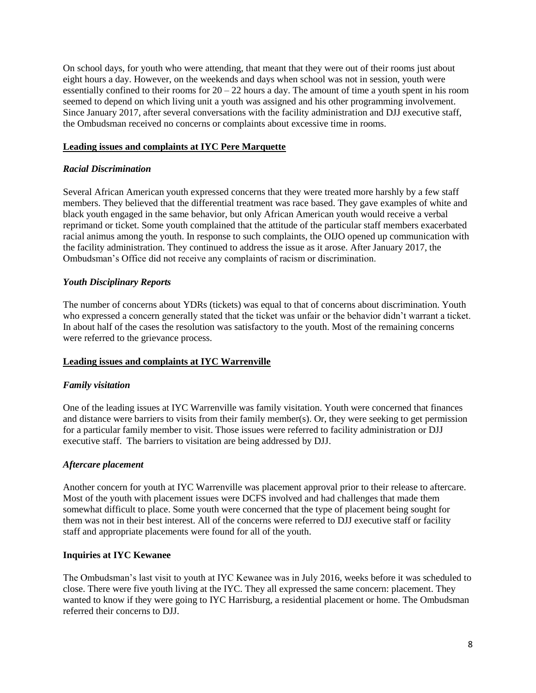On school days, for youth who were attending, that meant that they were out of their rooms just about eight hours a day. However, on the weekends and days when school was not in session, youth were essentially confined to their rooms for  $20 - 22$  hours a day. The amount of time a youth spent in his room seemed to depend on which living unit a youth was assigned and his other programming involvement. Since January 2017, after several conversations with the facility administration and DJJ executive staff, the Ombudsman received no concerns or complaints about excessive time in rooms.

#### **Leading issues and complaints at IYC Pere Marquette**

#### *Racial Discrimination*

Several African American youth expressed concerns that they were treated more harshly by a few staff members. They believed that the differential treatment was race based. They gave examples of white and black youth engaged in the same behavior, but only African American youth would receive a verbal reprimand or ticket. Some youth complained that the attitude of the particular staff members exacerbated racial animus among the youth. In response to such complaints, the OIJO opened up communication with the facility administration. They continued to address the issue as it arose. After January 2017, the Ombudsman's Office did not receive any complaints of racism or discrimination.

#### *Youth Disciplinary Reports*

The number of concerns about YDRs (tickets) was equal to that of concerns about discrimination. Youth who expressed a concern generally stated that the ticket was unfair or the behavior didn't warrant a ticket. In about half of the cases the resolution was satisfactory to the youth. Most of the remaining concerns were referred to the grievance process.

#### **Leading issues and complaints at IYC Warrenville**

#### *Family visitation*

One of the leading issues at IYC Warrenville was family visitation. Youth were concerned that finances and distance were barriers to visits from their family member(s). Or, they were seeking to get permission for a particular family member to visit. Those issues were referred to facility administration or DJJ executive staff. The barriers to visitation are being addressed by DJJ.

#### *Aftercare placement*

Another concern for youth at IYC Warrenville was placement approval prior to their release to aftercare. Most of the youth with placement issues were DCFS involved and had challenges that made them somewhat difficult to place. Some youth were concerned that the type of placement being sought for them was not in their best interest. All of the concerns were referred to DJJ executive staff or facility staff and appropriate placements were found for all of the youth.

#### **Inquiries at IYC Kewanee**

The Ombudsman's last visit to youth at IYC Kewanee was in July 2016, weeks before it was scheduled to close. There were five youth living at the IYC. They all expressed the same concern: placement. They wanted to know if they were going to IYC Harrisburg, a residential placement or home. The Ombudsman referred their concerns to DJJ.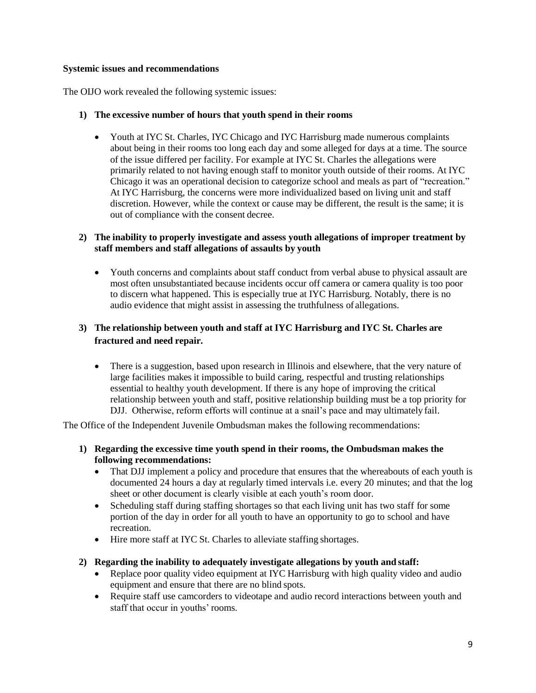#### **Systemic issues and recommendations**

The OIJO work revealed the following systemic issues:

#### **1) The excessive number of hours that youth spend in their rooms**

 Youth at IYC St. Charles, IYC Chicago and IYC Harrisburg made numerous complaints about being in their rooms too long each day and some alleged for days at a time. The source of the issue differed per facility. For example at IYC St. Charles the allegations were primarily related to not having enough staff to monitor youth outside of their rooms. At IYC Chicago it was an operational decision to categorize school and meals as part of "recreation." At IYC Harrisburg, the concerns were more individualized based on living unit and staff discretion. However, while the context or cause may be different, the result is the same; it is out of compliance with the consent decree.

#### **2) The inability to properly investigate and assess youth allegations of improper treatment by staff members and staff allegations of assaults by youth**

 Youth concerns and complaints about staff conduct from verbal abuse to physical assault are most often unsubstantiated because incidents occur off camera or camera quality is too poor to discern what happened. This is especially true at IYC Harrisburg. Notably, there is no audio evidence that might assist in assessing the truthfulness of allegations.

#### **3) The relationship between youth and staff at IYC Harrisburg and IYC St. Charles are fractured and need repair.**

• There is a suggestion, based upon research in Illinois and elsewhere, that the very nature of large facilities makes it impossible to build caring, respectful and trusting relationships essential to healthy youth development. If there is any hope of improving the critical relationship between youth and staff, positive relationship building must be a top priority for DJJ. Otherwise, reform efforts will continue at a snail's pace and may ultimately fail.

The Office of the Independent Juvenile Ombudsman makes the following recommendations:

- **1) Regarding the excessive time youth spend in their rooms, the Ombudsman makes the following recommendations:**
	- That DJJ implement a policy and procedure that ensures that the whereabouts of each youth is documented 24 hours a day at regularly timed intervals i.e. every 20 minutes; and that the log sheet or other document is clearly visible at each youth's room door.
	- Scheduling staff during staffing shortages so that each living unit has two staff for some portion of the day in order for all youth to have an opportunity to go to school and have recreation.
	- Hire more staff at IYC St. Charles to alleviate staffing shortages.

#### **2) Regarding the inability to adequately investigate allegations by youth and staff:**

- Replace poor quality video equipment at IYC Harrisburg with high quality video and audio equipment and ensure that there are no blind spots.
- Require staff use camcorders to videotape and audio record interactions between youth and staff that occur in youths' rooms.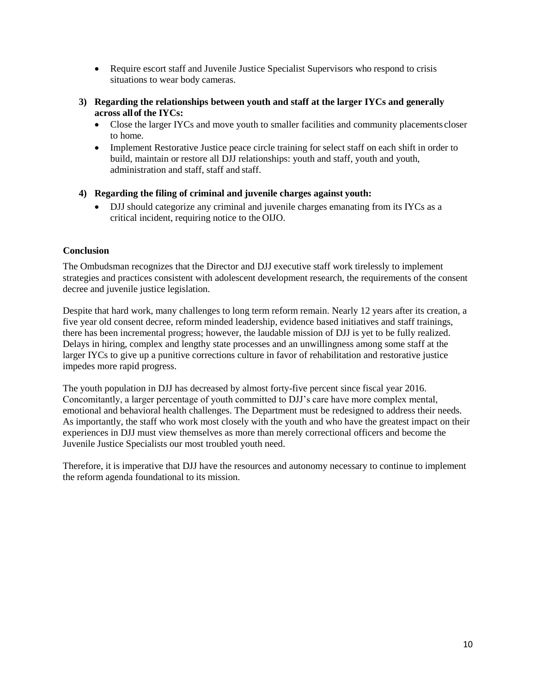- Require escort staff and Juvenile Justice Specialist Supervisors who respond to crisis situations to wear body cameras.
- **3) Regarding the relationships between youth and staff at the larger IYCs and generally across allof the IYCs:**
	- Close the larger IYCs and move youth to smaller facilities and community placements closer to home.
	- Implement Restorative Justice peace circle training for select staff on each shift in order to build, maintain or restore all DJJ relationships: youth and staff, youth and youth, administration and staff, staff and staff.
- **4) Regarding the filing of criminal and juvenile charges against youth:**
	- DJJ should categorize any criminal and juvenile charges emanating from its IYCs as a critical incident, requiring notice to the OIJO.

#### <span id="page-11-0"></span>**Conclusion**

The Ombudsman recognizes that the Director and DJJ executive staff work tirelessly to implement strategies and practices consistent with adolescent development research, the requirements of the consent decree and juvenile justice legislation.

Despite that hard work, many challenges to long term reform remain. Nearly 12 years after its creation, a five year old consent decree, reform minded leadership, evidence based initiatives and staff trainings, there has been incremental progress; however, the laudable mission of DJJ is yet to be fully realized. Delays in hiring, complex and lengthy state processes and an unwillingness among some staff at the larger IYCs to give up a punitive corrections culture in favor of rehabilitation and restorative justice impedes more rapid progress.

The youth population in DJJ has decreased by almost forty-five percent since fiscal year 2016. Concomitantly, a larger percentage of youth committed to DJJ's care have more complex mental, emotional and behavioral health challenges. The Department must be redesigned to address their needs. As importantly, the staff who work most closely with the youth and who have the greatest impact on their experiences in DJJ must view themselves as more than merely correctional officers and become the Juvenile Justice Specialists our most troubled youth need.

Therefore, it is imperative that DJJ have the resources and autonomy necessary to continue to implement the reform agenda foundational to its mission.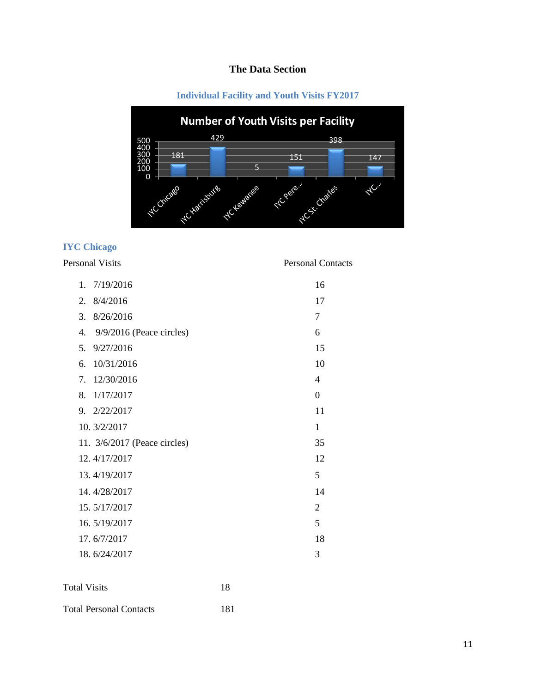# **The Data Section**

#### **Individual Facility and Youth Visits FY2017**

<span id="page-12-1"></span><span id="page-12-0"></span>

## <span id="page-12-2"></span>**IYC Chicago**

#### Personal Visits Personal Contacts

| 1. | 7/19/2016                    | 16             |
|----|------------------------------|----------------|
| 2. | 8/4/2016                     | 17             |
| 3. | 8/26/2016                    | 7              |
| 4. | $9/9/2016$ (Peace circles)   | 6              |
| 5. | 9/27/2016                    | 15             |
| б. | 10/31/2016                   | 10             |
| 7. | 12/30/2016                   | 4              |
| 8. | 1/17/2017                    | $\overline{0}$ |
|    | 9. 2/22/2017                 | 11             |
|    | 10.3/2/2017                  | 1              |
|    | 11. 3/6/2017 (Peace circles) | 35             |
|    | 12.4/17/2017                 | 12             |
|    | 13.4/19/2017                 | 5              |
|    | 14.4/28/2017                 | 14             |
|    | 15.5/17/2017                 | $\overline{2}$ |
|    | 16.5/19/2017                 | 5              |
|    | 17.6/7/2017                  | 18             |
|    | 18.6/24/2017                 | 3              |
|    |                              |                |

| <b>Total Visits</b> | 18 |
|---------------------|----|
|                     |    |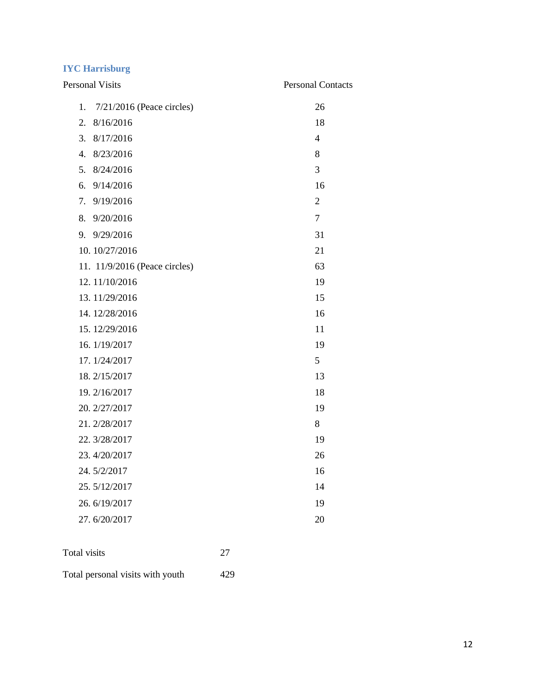## <span id="page-13-0"></span>**IYC Harrisburg**

| <b>Personal Visits</b>            | <b>Personal Contacts</b> |
|-----------------------------------|--------------------------|
| 1.<br>$7/21/2016$ (Peace circles) | 26                       |
| 2.<br>8/16/2016                   | 18                       |
| 3.<br>8/17/2016                   | $\overline{4}$           |
| 8/23/2016<br>4.                   | 8                        |
| 5.<br>8/24/2016                   | 3                        |
| 9/14/2016<br>6.                   | 16                       |
| 7. 9/19/2016                      | $\overline{2}$           |
| 9/20/2016<br>8.                   | 7                        |
| 9/29/2016<br>9.                   | 31                       |
| 10.10/27/2016                     | 21                       |
| 11. 11/9/2016 (Peace circles)     | 63                       |
| 12.11/10/2016                     | 19                       |
| 13.11/29/2016                     | 15                       |
| 14.12/28/2016                     | 16                       |
| 15.12/29/2016                     | 11                       |
| 16. 1/19/2017                     | 19                       |
| 17.1/24/2017                      | 5                        |
| 18.2/15/2017                      | 13                       |
| 19.2/16/2017                      | 18                       |
| 20. 2/27/2017                     | 19                       |
| 21.2/28/2017                      | 8                        |
| 22. 3/28/2017                     | 19                       |
| 23.4/20/2017                      | 26                       |
| 24.5/2/2017                       | 16                       |
| 25.5/12/2017                      | 14                       |
| 26.6/19/2017                      | 19                       |
| 27.6/20/2017                      | 20                       |
|                                   |                          |

| Total visits | 27 |
|--------------|----|
|              |    |

Total personal visits with youth 429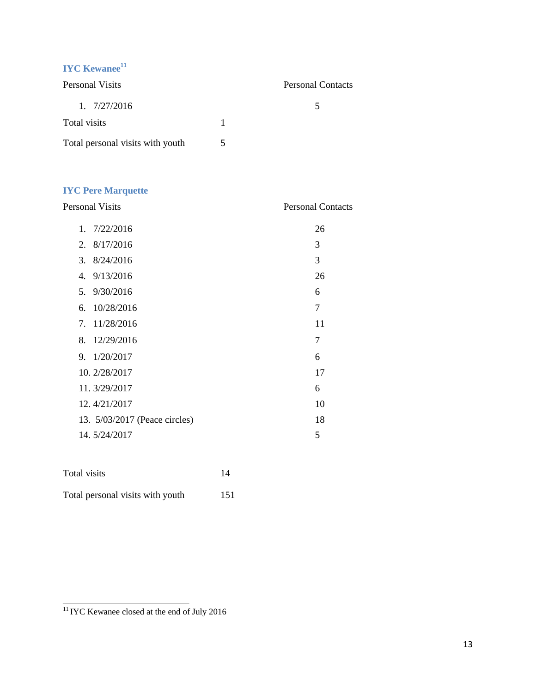# <span id="page-14-0"></span>**IYC Kewanee[11](#page-14-2)**

| Personal Visits                  | <b>Personal Contacts</b> |
|----------------------------------|--------------------------|
| 1.7/27/2016                      |                          |
| Total visits                     |                          |
| Total personal visits with youth |                          |

## <span id="page-14-1"></span>**IYC Pere Marquette**

| <b>Personal Visits</b>        | <b>Personal Contacts</b> |
|-------------------------------|--------------------------|
| 1.7/22/2016                   | 26                       |
| 2.8/17/2016                   | 3                        |
| 3.8/24/2016                   | 3                        |
| 4. $9/13/2016$                | 26                       |
| 5. 9/30/2016                  | 6                        |
| 6. 10/28/2016                 | $\overline{7}$           |
| 7. 11/28/2016                 | 11                       |
| 8. 12/29/2016                 | $\overline{7}$           |
| 9. $1/20/2017$                | 6                        |
| 10. 2/28/2017                 | 17                       |
| 11. 3/29/2017                 | 6                        |
| 12.4/21/2017                  | 10                       |
| 13. 5/03/2017 (Peace circles) | 18                       |
| 14.5/24/2017                  | 5                        |
|                               |                          |

| Total visits                     | 14  |
|----------------------------------|-----|
| Total personal visits with youth | 151 |

<span id="page-14-2"></span> $\frac{11}{11}$ IYC Kewanee closed at the end of July 2016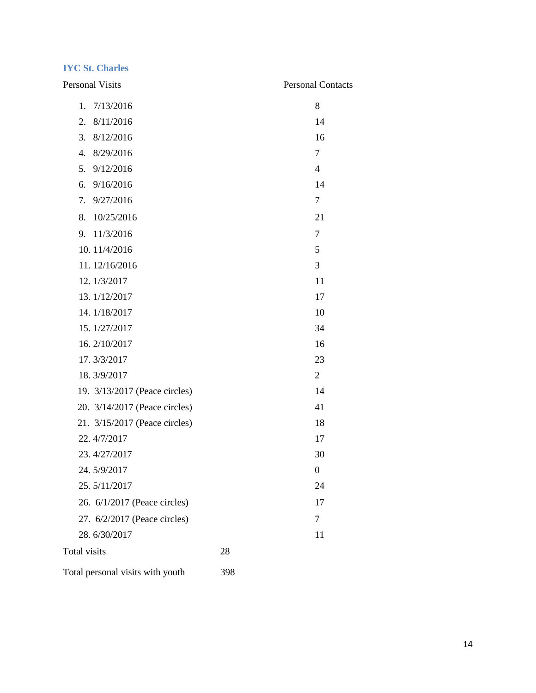#### <span id="page-15-0"></span>**IYC St. Charles**

| <b>Personal Visits</b>           |     | <b>Personal Contacts</b> |
|----------------------------------|-----|--------------------------|
| 1.<br>7/13/2016                  |     | 8                        |
| 8/11/2016<br>2.                  |     | 14                       |
| 3.<br>8/12/2016                  |     | 16                       |
| 4.<br>8/29/2016                  |     | $\overline{7}$           |
| 5.<br>9/12/2016                  |     | $\overline{4}$           |
| 9/16/2016<br>6.                  |     | 14                       |
| 9/27/2016<br>7.                  |     | 7                        |
| 10/25/2016<br>8.                 |     | 21                       |
| 11/3/2016<br>9.                  |     | 7                        |
| 10.11/4/2016                     |     | 5                        |
| 11.12/16/2016                    |     | 3                        |
| 12.1/3/2017                      |     | 11                       |
| 13. 1/12/2017                    |     | 17                       |
| 14.1/18/2017                     |     | 10                       |
| 15.1/27/2017                     |     | 34                       |
| 16.2/10/2017                     |     | 16                       |
| 17.3/3/2017                      |     | 23                       |
| 18.3/9/2017                      |     | $\overline{2}$           |
| 19. 3/13/2017 (Peace circles)    |     | 14                       |
| 20. 3/14/2017 (Peace circles)    |     | 41                       |
| 21. 3/15/2017 (Peace circles)    |     | 18                       |
| 22.4/7/2017                      |     | 17                       |
| 23.4/27/2017                     |     | 30                       |
| 24.5/9/2017                      |     | $\theta$                 |
| 25.5/11/2017                     |     | 24                       |
| 26. 6/1/2017 (Peace circles)     |     | 17                       |
| 27. 6/2/2017 (Peace circles)     |     | 7                        |
| 28.6/30/2017                     |     | 11                       |
| Total visits                     | 28  |                          |
| Total personal visits with youth | 398 |                          |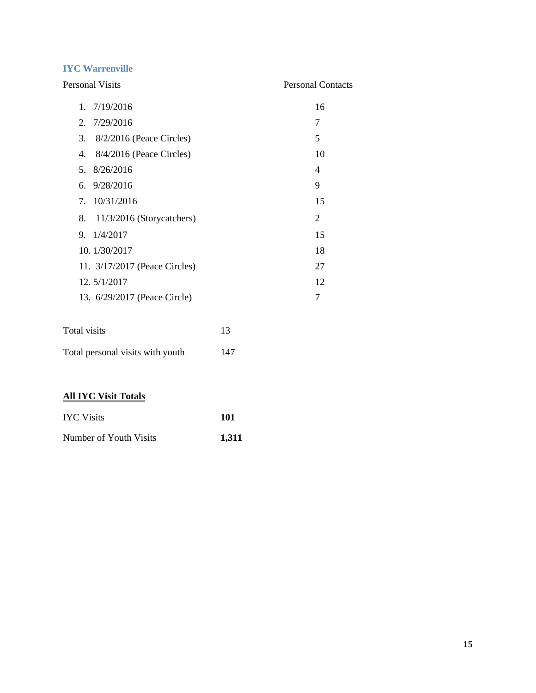#### <span id="page-16-0"></span>**IYC Warrenville**

| <b>Personal Visits</b>           | <b>Personal Contacts</b> |
|----------------------------------|--------------------------|
| 1. 7/19/2016                     | 16                       |
| 2.7/29/2016                      | 7                        |
| 3. 8/2/2016 (Peace Circles)      | 5                        |
| $8/4/2016$ (Peace Circles)<br>4. | 10                       |
| 5. 8/26/2016                     | 4                        |
| 6. $9/28/2016$                   | 9                        |
| 7. 10/31/2016                    | 15                       |
| 8. 11/3/2016 (Storycatchers)     | 2                        |
| 1/4/2017<br>9.                   | 15                       |
| 10. $1/30/2017$                  | 18                       |
| 11. 3/17/2017 (Peace Circles)    | 27                       |
| 12.5/1/2017                      | 12                       |
| 13. 6/29/2017 (Peace Circle)     | 7                        |
|                                  |                          |

| Total visits                     | 13  |
|----------------------------------|-----|
| Total personal visits with youth | 147 |

## **All IYC Visit Totals**

| <b>IYC Visits</b>      | 101   |
|------------------------|-------|
| Number of Youth Visits | 1.311 |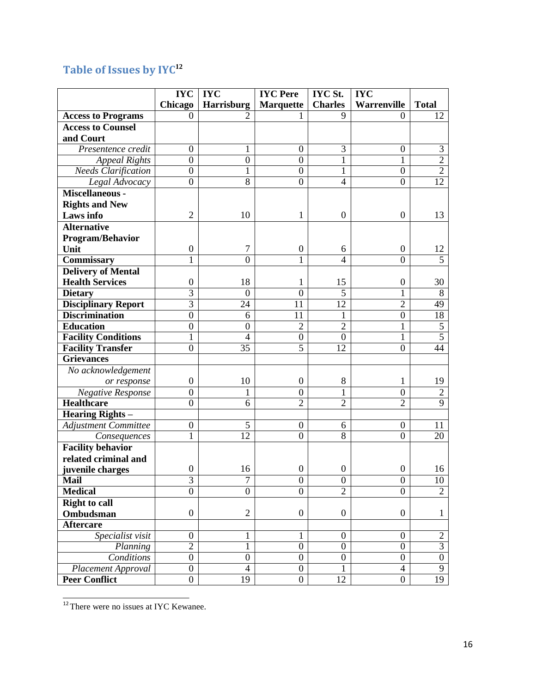# <span id="page-17-0"></span>**Table of Issues by IYC[12](#page-17-1)**

|                             | <b>IYC</b>       | <b>IYC</b>       | <b>IYC</b> Pere  | <b>IYC St.</b>   | <b>IYC</b>       |                  |
|-----------------------------|------------------|------------------|------------------|------------------|------------------|------------------|
|                             | Chicago          | Harrisburg       | <b>Marquette</b> | <b>Charles</b>   | Warrenville      | <b>Total</b>     |
| <b>Access to Programs</b>   | $\Omega$         | 2                |                  | 9                | $\Omega$         | 12               |
| <b>Access to Counsel</b>    |                  |                  |                  |                  |                  |                  |
| and Court                   |                  |                  |                  |                  |                  |                  |
| Presentence credit          | $\overline{0}$   | 1                | $\overline{0}$   | 3                | $\overline{0}$   | 3                |
| <b>Appeal Rights</b>        | $\boldsymbol{0}$ | $\boldsymbol{0}$ | $\boldsymbol{0}$ | $\mathbf{1}$     | 1                | $\overline{2}$   |
| <b>Needs Clarification</b>  | $\boldsymbol{0}$ | $\mathbf{1}$     | $\mathbf{0}$     | $\mathbf{1}$     | $\boldsymbol{0}$ | $\overline{2}$   |
| Legal Advocacy              | $\boldsymbol{0}$ | $\overline{8}$   | $\overline{0}$   | $\overline{4}$   | $\overline{0}$   | $\overline{12}$  |
| Miscellaneous -             |                  |                  |                  |                  |                  |                  |
| <b>Rights and New</b>       |                  |                  |                  |                  |                  |                  |
| Laws info                   | $\overline{2}$   | 10               | 1                | $\boldsymbol{0}$ | $\boldsymbol{0}$ | 13               |
| <b>Alternative</b>          |                  |                  |                  |                  |                  |                  |
| Program/Behavior            |                  |                  |                  |                  |                  |                  |
| Unit                        | $\boldsymbol{0}$ | $\tau$           | $\boldsymbol{0}$ | 6                | $\boldsymbol{0}$ | 12               |
| Commissary                  |                  | $\overline{0}$   | 1                | $\overline{4}$   | $\overline{0}$   | 5                |
| <b>Delivery of Mental</b>   |                  |                  |                  |                  |                  |                  |
| <b>Health Services</b>      | $\boldsymbol{0}$ | 18               | 1                | 15               | $\boldsymbol{0}$ | 30               |
| <b>Dietary</b>              | 3                | $\overline{0}$   | $\mathbf{0}$     | 5                | 1                | 8                |
| <b>Disciplinary Report</b>  | $\overline{3}$   | 24               | 11               | 12               | $\overline{2}$   | 49               |
| <b>Discrimination</b>       | $\mathbf{0}$     | 6                | 11               | $\mathbf{1}$     | $\boldsymbol{0}$ | 18               |
| <b>Education</b>            | $\boldsymbol{0}$ | $\boldsymbol{0}$ | $\overline{2}$   | $\overline{2}$   | $\mathbf{1}$     | 5                |
| <b>Facility Conditions</b>  | $\mathbf{1}$     | $\overline{4}$   | $\boldsymbol{0}$ | $\boldsymbol{0}$ | $\mathbf{1}$     | $\overline{5}$   |
| <b>Facility Transfer</b>    | $\mathbf{0}$     | 35               | $\overline{5}$   | 12               | $\boldsymbol{0}$ | 44               |
| <b>Grievances</b>           |                  |                  |                  |                  |                  |                  |
| No acknowledgement          |                  |                  |                  |                  |                  |                  |
| or response                 | $\boldsymbol{0}$ | 10               | $\boldsymbol{0}$ | $8\,$            | $\mathbf 1$      | 19               |
| <b>Negative Response</b>    | $\overline{0}$   | 1                | $\boldsymbol{0}$ | $\mathbf{1}$     | $\boldsymbol{0}$ | $\overline{2}$   |
| <b>Healthcare</b>           | $\overline{0}$   | 6                | $\overline{2}$   | $\overline{2}$   | $\overline{2}$   | $\overline{9}$   |
| <b>Hearing Rights -</b>     |                  |                  |                  |                  |                  |                  |
| <b>Adjustment Committee</b> | $\boldsymbol{0}$ | 5                | $\boldsymbol{0}$ | 6                | $\boldsymbol{0}$ | 11               |
| Consequences                | 1                | 12               | $\overline{0}$   | 8                | $\overline{0}$   | 20               |
| <b>Facility behavior</b>    |                  |                  |                  |                  |                  |                  |
| related criminal and        |                  |                  |                  |                  |                  |                  |
| juvenile charges            | $\boldsymbol{0}$ | 16               | $\boldsymbol{0}$ | $\boldsymbol{0}$ | $\boldsymbol{0}$ | 16               |
| <b>Mail</b>                 | $\mathfrak{I}$   | I                | U                | U                | $\boldsymbol{0}$ | $\overline{10}$  |
| <b>Medical</b>              | $\overline{0}$   | $\overline{0}$   | $\overline{0}$   | $\overline{2}$   | $\overline{0}$   | $\overline{2}$   |
| <b>Right to call</b>        |                  |                  |                  |                  |                  |                  |
| Ombudsman                   | $\boldsymbol{0}$ | $\overline{2}$   | $\boldsymbol{0}$ | $\boldsymbol{0}$ | $\boldsymbol{0}$ | $\mathbf{1}$     |
| <b>Aftercare</b>            |                  |                  |                  |                  |                  |                  |
| Specialist visit            | $\boldsymbol{0}$ | $\mathbf 1$      | $\mathbf{1}$     | $\boldsymbol{0}$ | $\boldsymbol{0}$ | $\overline{c}$   |
| Planning                    | $\overline{2}$   | 1                | $\boldsymbol{0}$ | $\boldsymbol{0}$ | $\overline{0}$   | $\overline{3}$   |
| Conditions                  | $\boldsymbol{0}$ | $\boldsymbol{0}$ | $\boldsymbol{0}$ | $\boldsymbol{0}$ | $\overline{0}$   | $\boldsymbol{0}$ |
| Placement Approval          | $\overline{0}$   | 4                | $\boldsymbol{0}$ | 1                | $\overline{4}$   | $\overline{9}$   |
| <b>Peer Conflict</b>        | $\boldsymbol{0}$ | 19               | $\boldsymbol{0}$ | 12               | $\overline{0}$   | 19               |

<span id="page-17-1"></span> $12$ There were no issues at IYC Kewanee.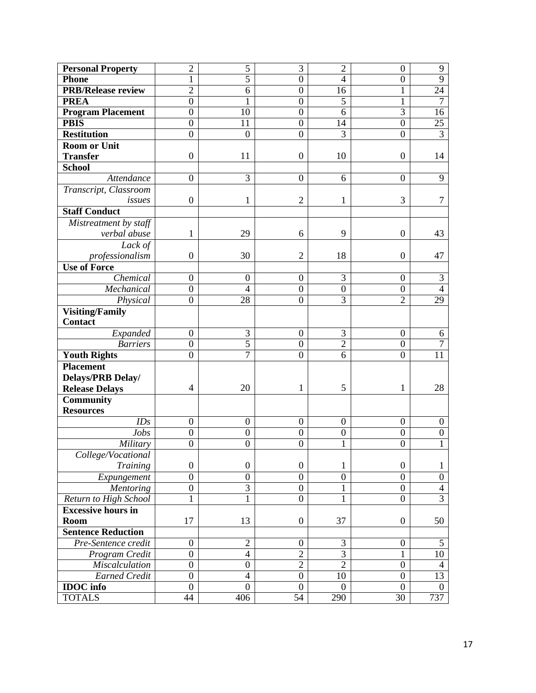| <b>Personal Property</b>  | $\overline{2}$   | 5                | $\overline{3}$   | $\overline{2}$   | $\boldsymbol{0}$ | 9                |
|---------------------------|------------------|------------------|------------------|------------------|------------------|------------------|
| <b>Phone</b>              | 1                | $\overline{5}$   | $\boldsymbol{0}$ | $\overline{4}$   | $\boldsymbol{0}$ | $\overline{9}$   |
| <b>PRB/Release review</b> | $\overline{2}$   | 6                | $\boldsymbol{0}$ | 16               | 1                | 24               |
| <b>PREA</b>               | $\boldsymbol{0}$ | 1                | $\boldsymbol{0}$ | $\overline{5}$   | 1                | $\overline{7}$   |
| <b>Program Placement</b>  | $\boldsymbol{0}$ | 10               | $\boldsymbol{0}$ | 6                | $\overline{3}$   | 16               |
| <b>PBIS</b>               | $\boldsymbol{0}$ | 11               | $\boldsymbol{0}$ | 14               | $\boldsymbol{0}$ | 25               |
| <b>Restitution</b>        | $\boldsymbol{0}$ | $\boldsymbol{0}$ | $\overline{0}$   | $\overline{3}$   | $\boldsymbol{0}$ | $\overline{3}$   |
| <b>Room or Unit</b>       |                  |                  |                  |                  |                  |                  |
| <b>Transfer</b>           | $\boldsymbol{0}$ | 11               | $\boldsymbol{0}$ | 10               | $\boldsymbol{0}$ | 14               |
| School                    |                  |                  |                  |                  |                  |                  |
| Attendance                | $\boldsymbol{0}$ | 3                | $\boldsymbol{0}$ | 6                | $\boldsymbol{0}$ | 9                |
| Transcript, Classroom     |                  |                  |                  |                  |                  |                  |
| issues                    | $\boldsymbol{0}$ | $\mathbf{1}$     | $\overline{2}$   | 1                | 3                | 7                |
| <b>Staff Conduct</b>      |                  |                  |                  |                  |                  |                  |
| Mistreatment by staff     |                  |                  |                  |                  |                  |                  |
| verbal abuse              | 1                | 29               | 6                | 9                | $\boldsymbol{0}$ | 43               |
| Lack of                   |                  |                  |                  |                  |                  |                  |
| professionalism           | $\overline{0}$   | 30               | $\overline{2}$   | 18               | $\boldsymbol{0}$ | 47               |
| <b>Use of Force</b>       |                  |                  |                  |                  |                  |                  |
| Chemical                  | $\boldsymbol{0}$ | $\boldsymbol{0}$ | $\boldsymbol{0}$ | $\overline{3}$   | $\boldsymbol{0}$ | 3                |
| Mechanical                | $\boldsymbol{0}$ | $\overline{4}$   | $\boldsymbol{0}$ | $\boldsymbol{0}$ | $\boldsymbol{0}$ | $\overline{4}$   |
| Physical                  | $\boldsymbol{0}$ | 28               | $\boldsymbol{0}$ | $\overline{3}$   | $\overline{2}$   | 29               |
| <b>Visiting/Family</b>    |                  |                  |                  |                  |                  |                  |
| Contact                   |                  |                  |                  |                  |                  |                  |
| Expanded                  | $\boldsymbol{0}$ | 3                | $\boldsymbol{0}$ | 3                | $\boldsymbol{0}$ | 6                |
| <b>Barriers</b>           | $\boldsymbol{0}$ | 5                | $\boldsymbol{0}$ | $\overline{2}$   | $\boldsymbol{0}$ | $\overline{7}$   |
| <b>Youth Rights</b>       | $\overline{0}$   | $\overline{7}$   | $\overline{0}$   | 6                | $\overline{0}$   | 11               |
| <b>Placement</b>          |                  |                  |                  |                  |                  |                  |
| Delays/PRB Delay/         |                  |                  |                  |                  |                  |                  |
| <b>Release Delays</b>     | $\overline{4}$   | 20               | $\mathbf{1}$     | 5                | $\mathbf{1}$     | 28               |
| <b>Community</b>          |                  |                  |                  |                  |                  |                  |
| <b>Resources</b>          |                  |                  |                  |                  |                  |                  |
| IDs                       | $\boldsymbol{0}$ | $\boldsymbol{0}$ | $\boldsymbol{0}$ | $\boldsymbol{0}$ | $\boldsymbol{0}$ | $\boldsymbol{0}$ |
| Jobs                      | $\boldsymbol{0}$ | $\boldsymbol{0}$ | $\boldsymbol{0}$ | $\boldsymbol{0}$ | $\boldsymbol{0}$ | $\boldsymbol{0}$ |
| Military                  | $\boldsymbol{0}$ | $\boldsymbol{0}$ | $\overline{0}$   | 1                | $\boldsymbol{0}$ | 1                |
| College/Vocational        |                  |                  |                  |                  |                  |                  |
| <b>Training</b>           | $\overline{0}$   | $\boldsymbol{0}$ | $\boldsymbol{0}$ | $\mathbf{1}$     | $\boldsymbol{0}$ | $\mathbf{1}$     |
| Expungement               | $\boldsymbol{0}$ | $\boldsymbol{0}$ | $\boldsymbol{0}$ | $\boldsymbol{0}$ | $\boldsymbol{0}$ | $\boldsymbol{0}$ |
| <b>Mentoring</b>          | $\boldsymbol{0}$ | $\overline{3}$   | $\boldsymbol{0}$ | 1                | $\boldsymbol{0}$ | $\overline{4}$   |
| Return to High School     | 1                | $\,1$            | $\overline{0}$   | 1                | $\boldsymbol{0}$ | $\overline{3}$   |
| <b>Excessive hours in</b> |                  |                  |                  |                  |                  |                  |
| <b>Room</b>               | 17               | 13               | $\boldsymbol{0}$ | 37               | $\boldsymbol{0}$ | 50               |
| <b>Sentence Reduction</b> |                  |                  |                  |                  |                  |                  |
| Pre-Sentence credit       | $\boldsymbol{0}$ | $\overline{2}$   | $\boldsymbol{0}$ | 3                | $\boldsymbol{0}$ | 5                |
| Program Credit            | $\overline{0}$   | $\overline{4}$   | $\overline{2}$   | $\overline{3}$   | $\mathbf{1}$     | 10               |
| <b>Miscalculation</b>     | $\overline{0}$   | $\mathbf{0}$     | $\overline{2}$   | $\overline{2}$   | $\overline{0}$   | $\overline{4}$   |
| <b>Earned Credit</b>      | $\boldsymbol{0}$ | $\overline{4}$   | $\boldsymbol{0}$ | 10               | $\boldsymbol{0}$ | 13               |
| <b>IDOC</b> info          | $\boldsymbol{0}$ | $\overline{0}$   | $\overline{0}$   | $\theta$         | $\theta$         | $\overline{0}$   |
| <b>TOTALS</b>             | 44               | 406              | $\overline{54}$  | 290              | $\overline{30}$  | 737              |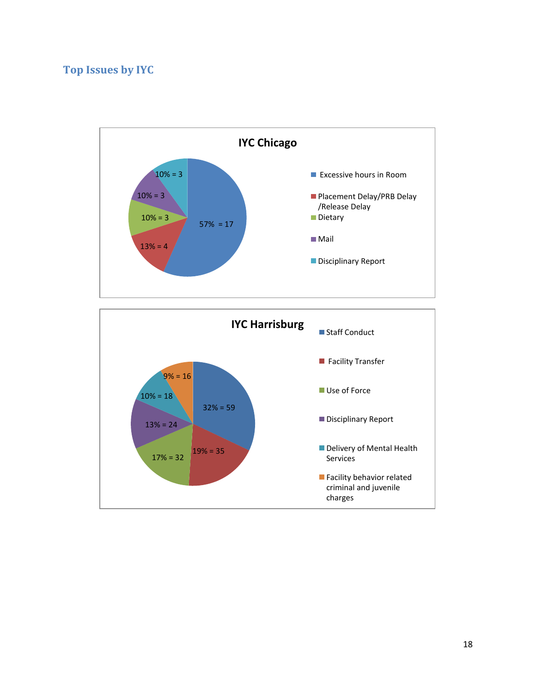# <span id="page-19-0"></span>**Top Issues by IYC**

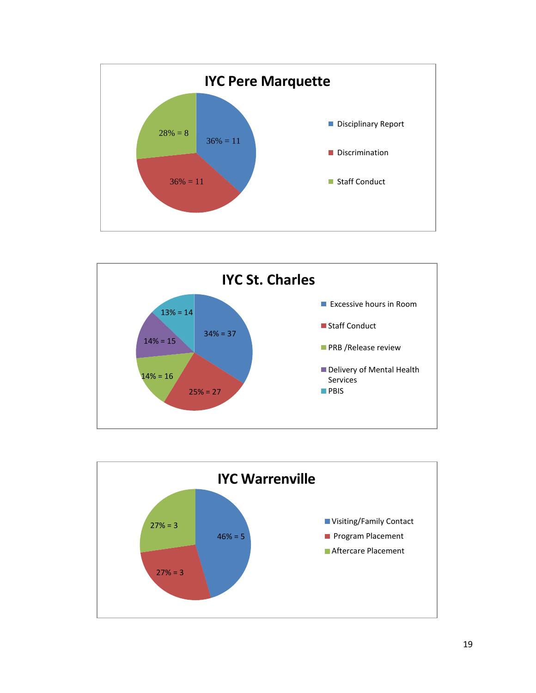



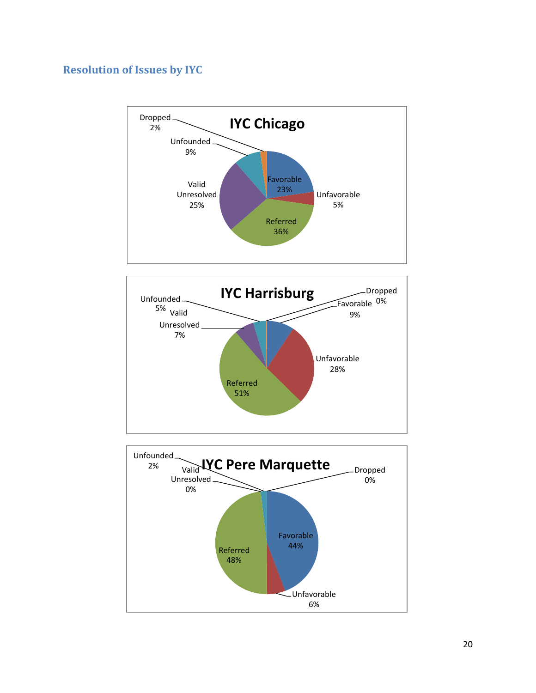# <span id="page-21-0"></span>**Resolution of Issues by IYC**





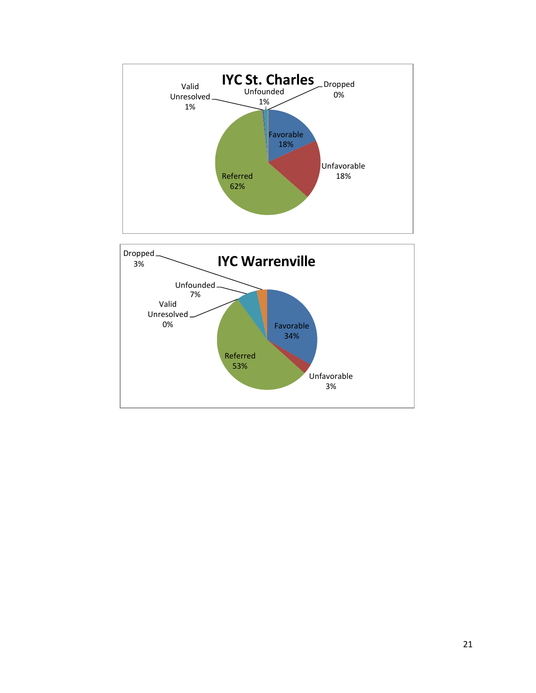

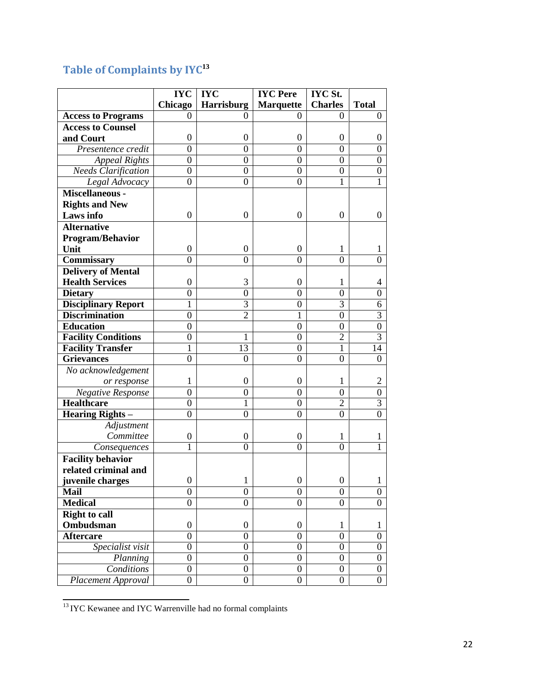# <span id="page-23-0"></span>**Table of Complaints by IYC[13](#page-23-1)**

|                            | <b>IYC</b>       | <b>IYC</b>       | <b>IYC</b> Pere  | <b>IYC St.</b>   |                  |
|----------------------------|------------------|------------------|------------------|------------------|------------------|
|                            | <b>Chicago</b>   | Harrisburg       | <b>Marquette</b> | <b>Charles</b>   | <b>Total</b>     |
| <b>Access to Programs</b>  | 0                | 0                | 0                | 0                | $\boldsymbol{0}$ |
| <b>Access to Counsel</b>   |                  |                  |                  |                  |                  |
| and Court                  | $\boldsymbol{0}$ | $\boldsymbol{0}$ | $\boldsymbol{0}$ | $\boldsymbol{0}$ | 0                |
| Presentence credit         | $\boldsymbol{0}$ | $\mathbf{0}$     | $\boldsymbol{0}$ | $\overline{0}$   | $\boldsymbol{0}$ |
| <b>Appeal Rights</b>       | $\boldsymbol{0}$ | $\mathbf{0}$     | $\overline{0}$   | $\boldsymbol{0}$ | $\boldsymbol{0}$ |
| <b>Needs Clarification</b> | $\boldsymbol{0}$ | $\boldsymbol{0}$ | $\overline{0}$   | $\boldsymbol{0}$ | $\boldsymbol{0}$ |
| Legal Advocacy             | $\boldsymbol{0}$ | $\boldsymbol{0}$ | $\overline{0}$   | 1                | 1                |
| Miscellaneous -            |                  |                  |                  |                  |                  |
| <b>Rights and New</b>      |                  |                  |                  |                  |                  |
| Laws info                  | $\overline{0}$   | $\boldsymbol{0}$ | $\overline{0}$   | $\overline{0}$   | $\theta$         |
| <b>Alternative</b>         |                  |                  |                  |                  |                  |
| <b>Program/Behavior</b>    |                  |                  |                  |                  |                  |
| Unit                       | $\boldsymbol{0}$ | $\boldsymbol{0}$ | $\boldsymbol{0}$ | $\mathbf{1}$     | 1                |
| <b>Commissary</b>          | $\overline{0}$   | $\overline{0}$   | $\overline{0}$   | $\boldsymbol{0}$ | $\overline{0}$   |
| <b>Delivery of Mental</b>  |                  |                  |                  |                  |                  |
| <b>Health Services</b>     | $\boldsymbol{0}$ | 3                | $\theta$         | 1                | 4                |
| <b>Dietary</b>             | $\boldsymbol{0}$ | $\overline{0}$   | $\boldsymbol{0}$ | $\boldsymbol{0}$ | $\boldsymbol{0}$ |
| <b>Disciplinary Report</b> | 1                | 3                | $\overline{0}$   | 3                | 6                |
| <b>Discrimination</b>      | $\mathbf{0}$     | $\overline{2}$   | 1                | $\boldsymbol{0}$ | $\overline{3}$   |
| <b>Education</b>           | $\overline{0}$   |                  | $\overline{0}$   | $\mathbf{0}$     | $\overline{0}$   |
| <b>Facility Conditions</b> | $\mathbf{0}$     | $\mathbf{1}$     | $\overline{0}$   | $\overline{2}$   | $\overline{3}$   |
| <b>Facility Transfer</b>   | 1                | 13               | $\overline{0}$   | $\mathbf{1}$     | 14               |
| <b>Grievances</b>          | $\mathbf{0}$     | $\overline{0}$   | $\overline{0}$   | $\mathbf{0}$     | $\boldsymbol{0}$ |
| No acknowledgement         |                  |                  |                  |                  |                  |
| or response                | 1                | $\boldsymbol{0}$ | $\boldsymbol{0}$ | $\mathbf{1}$     | $\overline{2}$   |
| Negative Response          | $\mathbf{0}$     | $\boldsymbol{0}$ | $\overline{0}$   | $\boldsymbol{0}$ | $\boldsymbol{0}$ |
| <b>Healthcare</b>          | $\boldsymbol{0}$ | 1                | $\boldsymbol{0}$ | $\overline{2}$   | $\overline{3}$   |
| <b>Hearing Rights -</b>    | $\overline{0}$   | $\mathbf{0}$     | $\boldsymbol{0}$ | $\boldsymbol{0}$ | $\overline{0}$   |
| Adjustment                 |                  |                  |                  |                  |                  |
| Committee                  | $\boldsymbol{0}$ | $\boldsymbol{0}$ | $\boldsymbol{0}$ | $\mathbf{1}$     | 1                |
| Consequences               | 1                | $\theta$         | $\overline{0}$   | $\overline{0}$   | 1                |
| <b>Facility behavior</b>   |                  |                  |                  |                  |                  |
| related criminal and       |                  |                  |                  |                  |                  |
| juvenile charges           | $\boldsymbol{0}$ | 1                | $\boldsymbol{0}$ | $\boldsymbol{0}$ | $\mathbf{I}$     |
| <b>Mail</b>                | $\overline{0}$   | $\overline{0}$   | $\overline{0}$   | $\overline{0}$   | $\overline{0}$   |
| <b>Medical</b>             | $\boldsymbol{0}$ | $\boldsymbol{0}$ | $\boldsymbol{0}$ | $\boldsymbol{0}$ | $\boldsymbol{0}$ |
| <b>Right to call</b>       |                  |                  |                  |                  |                  |
| Ombudsman                  | $\boldsymbol{0}$ | $\boldsymbol{0}$ | $\boldsymbol{0}$ | $\mathbf{1}$     | 1                |
| <b>Aftercare</b>           | $\boldsymbol{0}$ | $\mathbf{0}$     | $\boldsymbol{0}$ | $\boldsymbol{0}$ | $\boldsymbol{0}$ |
| Specialist visit           | $\overline{0}$   | $\overline{0}$   | $\overline{0}$   | $\overline{0}$   | $\overline{0}$   |
| Planning                   | $\boldsymbol{0}$ | $\boldsymbol{0}$ | $\boldsymbol{0}$ | $\boldsymbol{0}$ | $\overline{0}$   |
| Conditions                 | $\boldsymbol{0}$ | $\boldsymbol{0}$ | $\boldsymbol{0}$ | $\boldsymbol{0}$ | $\boldsymbol{0}$ |
| <b>Placement Approval</b>  | $\boldsymbol{0}$ | $\boldsymbol{0}$ | $\boldsymbol{0}$ | $\boldsymbol{0}$ | $\overline{0}$   |

<span id="page-23-1"></span><sup>&</sup>lt;sup>13</sup> IYC Kewanee and IYC Warrenville had no formal complaints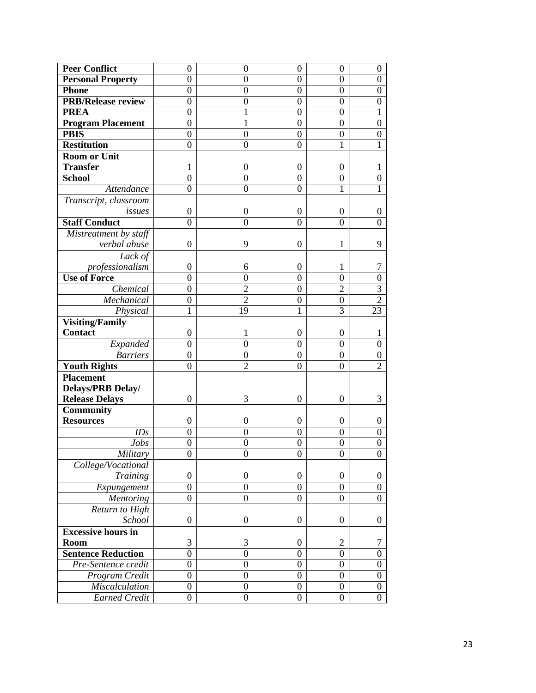| <b>Peer Conflict</b>                  | $\boldsymbol{0}$ | $\boldsymbol{0}$ | $\overline{0}$   | $\overline{0}$   | $\boldsymbol{0}$ |
|---------------------------------------|------------------|------------------|------------------|------------------|------------------|
| <b>Personal Property</b>              | 0                | 0                | $\boldsymbol{0}$ | $\boldsymbol{0}$ | $\boldsymbol{0}$ |
| <b>Phone</b>                          | $\boldsymbol{0}$ | $\boldsymbol{0}$ | $\overline{0}$   | $\boldsymbol{0}$ | $\boldsymbol{0}$ |
| <b>PRB/Release review</b>             | $\overline{0}$   | $\mathbf{0}$     | $\mathbf{0}$     | $\mathbf{0}$     | $\boldsymbol{0}$ |
| <b>PREA</b>                           | $\boldsymbol{0}$ | 1                | $\overline{0}$   | $\boldsymbol{0}$ |                  |
| <b>Program Placement</b>              | $\mathbf{0}$     | 1                | $\mathbf{0}$     | $\mathbf{0}$     | $\boldsymbol{0}$ |
| <b>PBIS</b>                           | $\mathbf{0}$     | $\mathbf{0}$     | $\overline{0}$   | $\mathbf{0}$     | $\boldsymbol{0}$ |
| <b>Restitution</b>                    | $\boldsymbol{0}$ | $\boldsymbol{0}$ | $\overline{0}$   | 1                | 1                |
| <b>Room or Unit</b>                   |                  |                  |                  |                  |                  |
| <b>Transfer</b>                       | 1                | $\boldsymbol{0}$ | $\boldsymbol{0}$ | $\boldsymbol{0}$ | 1                |
| <b>School</b>                         | $\mathbf{0}$     | $\boldsymbol{0}$ | $\mathbf{0}$     | $\mathbf{0}$     | $\boldsymbol{0}$ |
| Attendance                            | $\overline{0}$   | $\mathbf{0}$     | $\mathbf{0}$     | $\mathbf{1}$     |                  |
| Transcript, classroom                 |                  |                  |                  |                  |                  |
| issues                                | $\overline{0}$   | $\boldsymbol{0}$ | $\overline{0}$   | $\boldsymbol{0}$ | 0                |
| <b>Staff Conduct</b>                  | $\overline{0}$   | $\overline{0}$   | $\theta$         | $\overline{0}$   | $\overline{0}$   |
| Mistreatment by staff                 |                  |                  |                  |                  |                  |
| verbal abuse                          | 0                | 9                | $\overline{0}$   | 1                | 9                |
| Lack of                               |                  |                  |                  |                  |                  |
| professionalism                       | 0                | 6                | $\boldsymbol{0}$ | 1                | 7                |
| <b>Use of Force</b>                   | $\mathbf{0}$     | $\mathbf{0}$     | $\mathbf{0}$     | $\mathbf{0}$     | $\overline{0}$   |
| Chemical                              | $\mathbf{0}$     | $\overline{2}$   | $\mathbf{0}$     | $\overline{2}$   | $\overline{3}$   |
| Mechanical                            | $\boldsymbol{0}$ | $\overline{2}$   | $\boldsymbol{0}$ | $\boldsymbol{0}$ | $\overline{2}$   |
| Physical                              | 1                | 19               | 1                | 3                | 23               |
| <b>Visiting/Family</b>                |                  |                  |                  |                  |                  |
| <b>Contact</b>                        | 0                | 1                | $\boldsymbol{0}$ | $\boldsymbol{0}$ | 1                |
| Expanded                              | $\mathbf{0}$     | $\overline{0}$   | $\overline{0}$   | $\overline{0}$   | $\mathbf{0}$     |
| <b>Barriers</b>                       | $\boldsymbol{0}$ | $\boldsymbol{0}$ | $\theta$         | $\boldsymbol{0}$ | $\boldsymbol{0}$ |
| <b>Youth Rights</b>                   | $\overline{0}$   | $\overline{2}$   | $\overline{0}$   | $\overline{0}$   | $\overline{2}$   |
| <b>Placement</b>                      |                  |                  |                  |                  |                  |
| <b>Delays/PRB Delay/</b>              |                  |                  |                  |                  |                  |
| <b>Release Delays</b>                 | 0                | 3                | $\boldsymbol{0}$ | $\boldsymbol{0}$ | 3                |
| <b>Community</b>                      |                  |                  |                  |                  |                  |
| <b>Resources</b>                      | 0                | $\boldsymbol{0}$ | $\theta$         | $\boldsymbol{0}$ | $\overline{0}$   |
| IDs                                   | $\boldsymbol{0}$ | $\mathbf{0}$     | $\mathbf{0}$     | $\boldsymbol{0}$ | $\boldsymbol{0}$ |
| Jobs                                  | $\boldsymbol{0}$ | $\mathbf{0}$     | $\mathbf{0}$     | $\boldsymbol{0}$ | $\boldsymbol{0}$ |
| Military                              | $\overline{0}$   | $\overline{0}$   | $\overline{0}$   | $\overline{0}$   | $\boldsymbol{0}$ |
| College/Vocational<br><b>Training</b> | $\boldsymbol{0}$ | $\boldsymbol{0}$ | $\boldsymbol{0}$ | $\boldsymbol{0}$ | $\boldsymbol{0}$ |
|                                       | $\boldsymbol{0}$ | $\boldsymbol{0}$ | $\boldsymbol{0}$ | $\boldsymbol{0}$ | $\boldsymbol{0}$ |
| Expungement<br>Mentoring              | $\boldsymbol{0}$ | $\mathbf{0}$     | $\overline{0}$   | $\boldsymbol{0}$ | $\boldsymbol{0}$ |
|                                       |                  |                  |                  |                  |                  |
| Return to High<br>School              | $\boldsymbol{0}$ | $\boldsymbol{0}$ | $\boldsymbol{0}$ | $\boldsymbol{0}$ | $\boldsymbol{0}$ |
| <b>Excessive hours in</b>             |                  |                  |                  |                  |                  |
| Room                                  | 3                | 3                | $\boldsymbol{0}$ | $\overline{2}$   | 7                |
| <b>Sentence Reduction</b>             | $\boldsymbol{0}$ | $\boldsymbol{0}$ | $\mathbf{0}$     | $\boldsymbol{0}$ | $\boldsymbol{0}$ |
| Pre-Sentence credit                   | $\mathbf{0}$     | $\overline{0}$   | $\overline{0}$   | $\overline{0}$   | $\boldsymbol{0}$ |
| Program Credit                        | $\boldsymbol{0}$ | $\boldsymbol{0}$ | $\boldsymbol{0}$ | $\boldsymbol{0}$ | $\boldsymbol{0}$ |
| <b>Miscalculation</b>                 | $\boldsymbol{0}$ | $\boldsymbol{0}$ | $\boldsymbol{0}$ | $\boldsymbol{0}$ | $\boldsymbol{0}$ |
| <b>Earned Credit</b>                  | $\boldsymbol{0}$ | $\boldsymbol{0}$ | $\overline{0}$   | $\mathbf{0}$     | $\boldsymbol{0}$ |
|                                       |                  |                  |                  |                  |                  |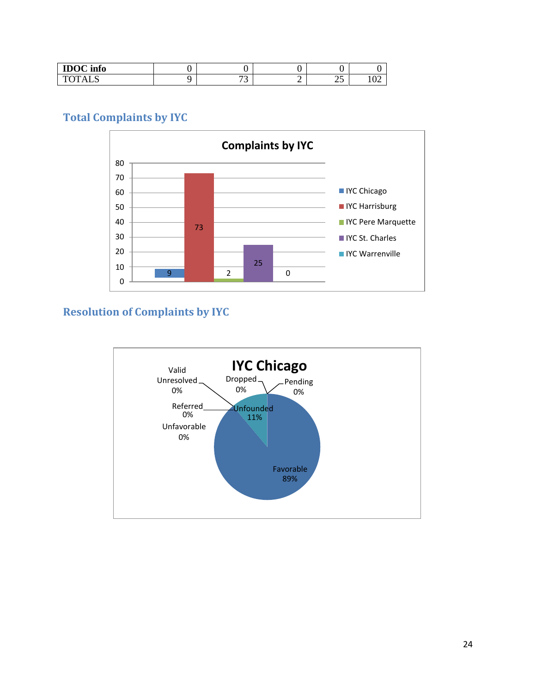| $IDOC$ info |                               |   |          |               |
|-------------|-------------------------------|---|----------|---------------|
| 1 ALN       | $\overline{\phantom{a}}$<br>ັ | ∽ | ↑∼<br>رے | $\sim$<br>104 |

# <span id="page-25-0"></span>**Total Complaints by IYC**



# <span id="page-25-1"></span>**Resolution of Complaints by IYC**

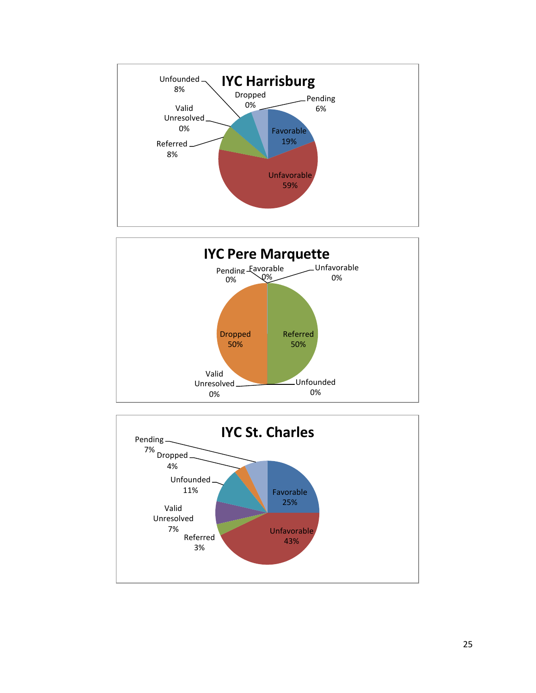



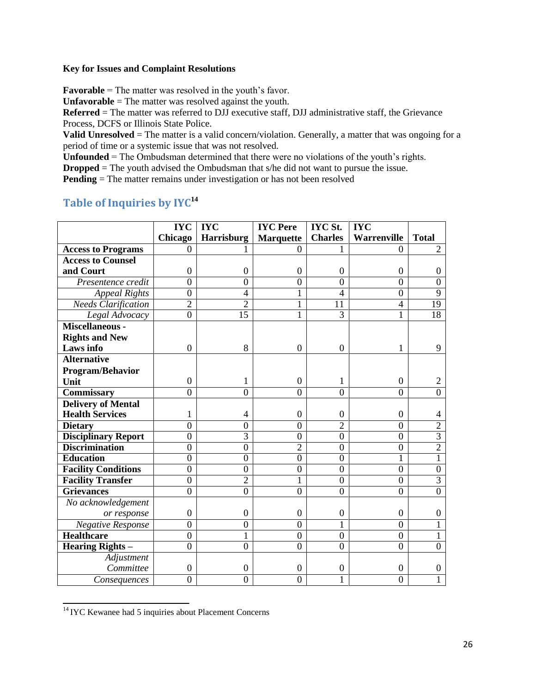#### **Key for Issues and Complaint Resolutions**

**Favorable** = The matter was resolved in the youth's favor.

**Unfavorable** = The matter was resolved against the youth.

**Referred** = The matter was referred to DJJ executive staff, DJJ administrative staff, the Grievance Process, DCFS or Illinois State Police.

**Valid Unresolved** = The matter is a valid concern/violation. Generally, a matter that was ongoing for a period of time or a systemic issue that was not resolved.

**Unfounded** = The Ombudsman determined that there were no violations of the youth's rights.

**Dropped** = The youth advised the Ombudsman that s/he did not want to pursue the issue.

**Pending** = The matter remains under investigation or has not been resolved

# <span id="page-27-0"></span>**Table of Inquiries by IYC[14](#page-27-1)**

|                            | <b>IYC</b>       | <b>IYC</b>       | <b>IYC</b> Pere  | <b>IYC St.</b>   | <b>IYC</b>         |                  |
|----------------------------|------------------|------------------|------------------|------------------|--------------------|------------------|
|                            | Chicago          | Harrisburg       | <b>Marquette</b> | <b>Charles</b>   | <b>Warrenville</b> | <b>Total</b>     |
| <b>Access to Programs</b>  | $\Omega$         |                  | $\Omega$         |                  | $\theta$           | $\overline{2}$   |
| <b>Access to Counsel</b>   |                  |                  |                  |                  |                    |                  |
| and Court                  | $\boldsymbol{0}$ | $\boldsymbol{0}$ | $\boldsymbol{0}$ | $\boldsymbol{0}$ | $\boldsymbol{0}$   | $\overline{0}$   |
| Presentence credit         | $\overline{0}$   | $\overline{0}$   | $\boldsymbol{0}$ | $\overline{0}$   | $\boldsymbol{0}$   | $\boldsymbol{0}$ |
| <b>Appeal Rights</b>       | $\overline{0}$   | $\overline{4}$   | $\mathbf{1}$     | $\overline{4}$   | $\overline{0}$     | $\overline{9}$   |
| <b>Needs Clarification</b> | $\overline{2}$   | $\overline{2}$   | $\mathbf{1}$     | 11               | $\overline{4}$     | $\overline{19}$  |
| Legal Advocacy             | $\overline{0}$   | $\overline{15}$  | 1                | 3                | 1                  | 18               |
| Miscellaneous -            |                  |                  |                  |                  |                    |                  |
| <b>Rights and New</b>      |                  |                  |                  |                  |                    |                  |
| Laws info                  | $\mathbf{0}$     | 8                | $\mathbf{0}$     | $\mathbf{0}$     | 1                  | 9                |
| <b>Alternative</b>         |                  |                  |                  |                  |                    |                  |
| Program/Behavior           |                  |                  |                  |                  |                    |                  |
| Unit                       | $\boldsymbol{0}$ | 1                | $\theta$         | 1                | $\boldsymbol{0}$   | 2                |
| Commissary                 | $\overline{0}$   | $\overline{0}$   | $\overline{0}$   | $\overline{0}$   | $\overline{0}$     | $\overline{0}$   |
| <b>Delivery of Mental</b>  |                  |                  |                  |                  |                    |                  |
| <b>Health Services</b>     |                  | 4                | $\theta$         | $\Omega$         | $\boldsymbol{0}$   | 4                |
| <b>Dietary</b>             | $\overline{0}$   | $\mathbf{0}$     | $\overline{0}$   | $\overline{2}$   | $\overline{0}$     | $\overline{2}$   |
| <b>Disciplinary Report</b> | $\overline{0}$   | $\overline{3}$   | $\overline{0}$   | $\overline{0}$   | $\overline{0}$     | $\overline{3}$   |
| <b>Discrimination</b>      | $\overline{0}$   | $\overline{0}$   | $\overline{2}$   | $\overline{0}$   | $\boldsymbol{0}$   | $\overline{2}$   |
| <b>Education</b>           | $\overline{0}$   | $\overline{0}$   | $\overline{0}$   | $\overline{0}$   | 1                  | 1                |
| <b>Facility Conditions</b> | $\overline{0}$   | $\overline{0}$   | $\overline{0}$   | $\overline{0}$   | $\overline{0}$     | $\boldsymbol{0}$ |
| <b>Facility Transfer</b>   | $\overline{0}$   | $\overline{2}$   | 1                | $\overline{0}$   | $\boldsymbol{0}$   | 3                |
| <b>Grievances</b>          | $\theta$         | $\overline{0}$   | $\overline{0}$   | $\overline{0}$   | $\overline{0}$     | $\overline{0}$   |
| No acknowledgement         |                  |                  |                  |                  |                    |                  |
| or response                | $\boldsymbol{0}$ | $\boldsymbol{0}$ | $\boldsymbol{0}$ | $\boldsymbol{0}$ | $\boldsymbol{0}$   | $\boldsymbol{0}$ |
| <b>Negative Response</b>   | $\overline{0}$   | $\overline{0}$   | $\overline{0}$   | 1                | $\overline{0}$     | 1                |
| <b>Healthcare</b>          | $\overline{0}$   | $\overline{1}$   | $\overline{0}$   | $\overline{0}$   | $\boldsymbol{0}$   | 1                |
| <b>Hearing Rights -</b>    | $\overline{0}$   | $\overline{0}$   | $\overline{0}$   | $\overline{0}$   | $\overline{0}$     | $\overline{0}$   |
| Adjustment                 |                  |                  |                  |                  |                    |                  |
| Committee                  | $\boldsymbol{0}$ | $\boldsymbol{0}$ | $\boldsymbol{0}$ | $\boldsymbol{0}$ | $\boldsymbol{0}$   | $\boldsymbol{0}$ |
| Consequences               | $\overline{0}$   | $\overline{0}$   | $\overline{0}$   |                  | $\overline{0}$     |                  |

<span id="page-27-1"></span><sup>&</sup>lt;sup>14</sup> IYC Kewanee had 5 inquiries about Placement Concerns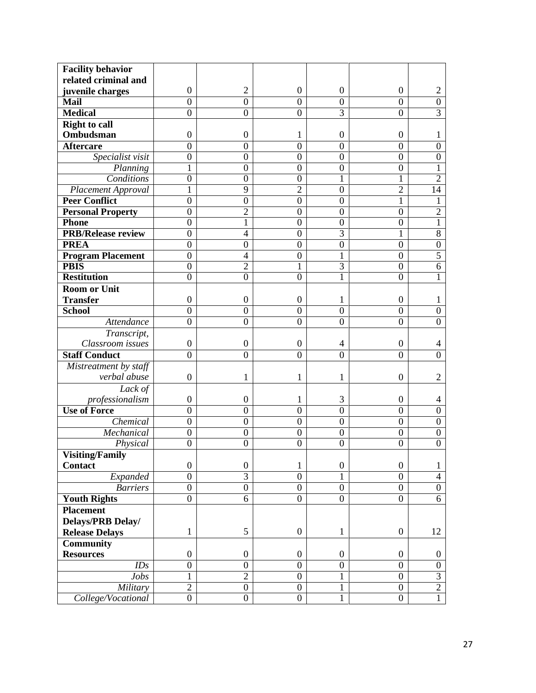| <b>Facility behavior</b>  |                  |                  |                  |                  |                  |                  |
|---------------------------|------------------|------------------|------------------|------------------|------------------|------------------|
| related criminal and      |                  |                  |                  |                  |                  |                  |
| juvenile charges          | $\boldsymbol{0}$ | $\overline{2}$   | $\boldsymbol{0}$ | $\boldsymbol{0}$ | $\boldsymbol{0}$ | 2                |
| <b>Mail</b>               | $\overline{0}$   | $\theta$         | $\overline{0}$   | $\overline{0}$   | $\overline{0}$   | $\boldsymbol{0}$ |
| <b>Medical</b>            | $\overline{0}$   | $\mathbf{0}$     | $\mathbf{0}$     | $\overline{3}$   | $\overline{0}$   | $\overline{3}$   |
| <b>Right to call</b>      |                  |                  |                  |                  |                  |                  |
| Ombudsman                 | 0                | $\boldsymbol{0}$ | 1                | $\boldsymbol{0}$ | $\boldsymbol{0}$ | T                |
| <b>Aftercare</b>          | $\overline{0}$   | $\boldsymbol{0}$ | $\overline{0}$   | $\boldsymbol{0}$ | $\boldsymbol{0}$ | $\boldsymbol{0}$ |
| Specialist visit          | $\boldsymbol{0}$ | $\boldsymbol{0}$ | $\boldsymbol{0}$ | $\overline{0}$   | $\boldsymbol{0}$ | $\boldsymbol{0}$ |
| Planning                  | 1                | $\boldsymbol{0}$ | $\mathbf{0}$     | $\overline{0}$   | $\boldsymbol{0}$ | 1                |
| Conditions                | 0                | $\boldsymbol{0}$ | $\boldsymbol{0}$ | 1                | 1                | $\overline{2}$   |
| Placement Approval        | 1                | 9                | $\overline{c}$   | $\boldsymbol{0}$ | $\overline{2}$   | 14               |
| <b>Peer Conflict</b>      | $\mathbf{0}$     | $\boldsymbol{0}$ | $\overline{0}$   | $\overline{0}$   | 1                | 1                |
| <b>Personal Property</b>  | $\boldsymbol{0}$ | $\overline{c}$   | $\overline{0}$   | $\mathbf{0}$     | $\boldsymbol{0}$ | $\overline{2}$   |
| <b>Phone</b>              | $\overline{0}$   | $\mathbf{1}$     | $\boldsymbol{0}$ | $\mathbf{0}$     | $\boldsymbol{0}$ | 1                |
| <b>PRB/Release review</b> | $\overline{0}$   | $\overline{4}$   | $\overline{0}$   | $\overline{3}$   | $\mathbf{1}$     | $\overline{8}$   |
| <b>PREA</b>               | $\overline{0}$   | $\mathbf{0}$     | $\overline{0}$   | $\boldsymbol{0}$ | $\boldsymbol{0}$ | $\boldsymbol{0}$ |
| <b>Program Placement</b>  | $\mathbf{0}$     | $\overline{4}$   | $\boldsymbol{0}$ |                  | $\boldsymbol{0}$ | $\overline{5}$   |
| <b>PBIS</b>               | $\boldsymbol{0}$ | $\overline{2}$   | 1                | $\overline{3}$   | $\boldsymbol{0}$ | 6                |
| <b>Restitution</b>        | 0                | $\overline{0}$   | $\overline{0}$   |                  | $\overline{0}$   | 1                |
| <b>Room or Unit</b>       |                  |                  |                  |                  |                  |                  |
| <b>Transfer</b>           | $\boldsymbol{0}$ | $\boldsymbol{0}$ | $\boldsymbol{0}$ | 1                | $\boldsymbol{0}$ | 1                |
| <b>School</b>             | $\overline{0}$   | $\boldsymbol{0}$ | $\boldsymbol{0}$ | $\overline{0}$   | $\boldsymbol{0}$ | $\boldsymbol{0}$ |
| Attendance                | $\overline{0}$   | $\mathbf{0}$     | $\mathbf{0}$     | $\overline{0}$   | $\boldsymbol{0}$ | $\boldsymbol{0}$ |
| Transcript,               |                  |                  |                  |                  |                  |                  |
| Classroom issues          | $\boldsymbol{0}$ | $\boldsymbol{0}$ | $\Omega$         | 4                | $\boldsymbol{0}$ | 4                |
| <b>Staff Conduct</b>      | $\theta$         | $\boldsymbol{0}$ | $\boldsymbol{0}$ | $\overline{0}$   | $\overline{0}$   | $\overline{0}$   |
| Mistreatment by staff     |                  |                  |                  |                  |                  |                  |
| verbal abuse              | $\boldsymbol{0}$ | $\mathbf{1}$     | 1                | 1                | $\mathbf{0}$     | $\overline{2}$   |
| Lack of                   |                  |                  |                  |                  |                  |                  |
| professionalism           | $\boldsymbol{0}$ | $\boldsymbol{0}$ | 1                | 3                | $\boldsymbol{0}$ | 4                |
| <b>Use of Force</b>       | $\overline{0}$   | $\boldsymbol{0}$ | $\mathbf{0}$     | $\overline{0}$   | $\overline{0}$   | $\boldsymbol{0}$ |
| Chemical                  | $\boldsymbol{0}$ | $\boldsymbol{0}$ | $\boldsymbol{0}$ | $\mathbf{0}$     | $\boldsymbol{0}$ | $\boldsymbol{0}$ |
| Mechanical                | $\boldsymbol{0}$ | $\boldsymbol{0}$ | $\boldsymbol{0}$ | $\mathbf{0}$     | $\boldsymbol{0}$ | $\boldsymbol{0}$ |
| Physical                  | $\overline{0}$   | $\mathbf{0}$     | $\overline{0}$   | $\overline{0}$   | $\overline{0}$   | $\boldsymbol{0}$ |
| <b>Visiting/Family</b>    |                  |                  |                  |                  |                  |                  |
| <b>Contact</b>            | $\boldsymbol{0}$ | $\boldsymbol{0}$ | $\mathbf{1}$     | $\boldsymbol{0}$ | $\boldsymbol{0}$ | $\mathbf{1}$     |
| Expanded                  | $\boldsymbol{0}$ | $\overline{3}$   | $\boldsymbol{0}$ | $\mathbf{1}$     | $\boldsymbol{0}$ | $\overline{4}$   |
| <b>Barriers</b>           | $\boldsymbol{0}$ | $\overline{0}$   | $\overline{0}$   | $\boldsymbol{0}$ | $\boldsymbol{0}$ | $\overline{0}$   |
| <b>Youth Rights</b>       | $\overline{0}$   | $\overline{6}$   | $\overline{0}$   | $\boldsymbol{0}$ | $\overline{0}$   | 6                |
| <b>Placement</b>          |                  |                  |                  |                  |                  |                  |
| Delays/PRB Delay/         |                  |                  |                  |                  |                  |                  |
| <b>Release Delays</b>     | $\mathbf{1}$     | 5                | $\boldsymbol{0}$ | $\mathbf{1}$     | $\boldsymbol{0}$ | 12               |
| <b>Community</b>          |                  |                  |                  |                  |                  |                  |
| <b>Resources</b>          | $\boldsymbol{0}$ | $\boldsymbol{0}$ | $\boldsymbol{0}$ | $\boldsymbol{0}$ | $\boldsymbol{0}$ | $\mathbf{0}$     |
| IDs                       | $\boldsymbol{0}$ | $\boldsymbol{0}$ | $\overline{0}$   | $\overline{0}$   | $\boldsymbol{0}$ | $\overline{0}$   |
| Jobs                      | $\mathbf{1}$     | $\overline{2}$   | $\boldsymbol{0}$ | 1                | $\boldsymbol{0}$ | $\overline{3}$   |
| Military                  | $\overline{2}$   | $\boldsymbol{0}$ | $\boldsymbol{0}$ | 1                | $\boldsymbol{0}$ | $\overline{2}$   |
| College/Vocational        | $\overline{0}$   | $\boldsymbol{0}$ | $\overline{0}$   | 1                | $\boldsymbol{0}$ | $\mathbf{1}$     |